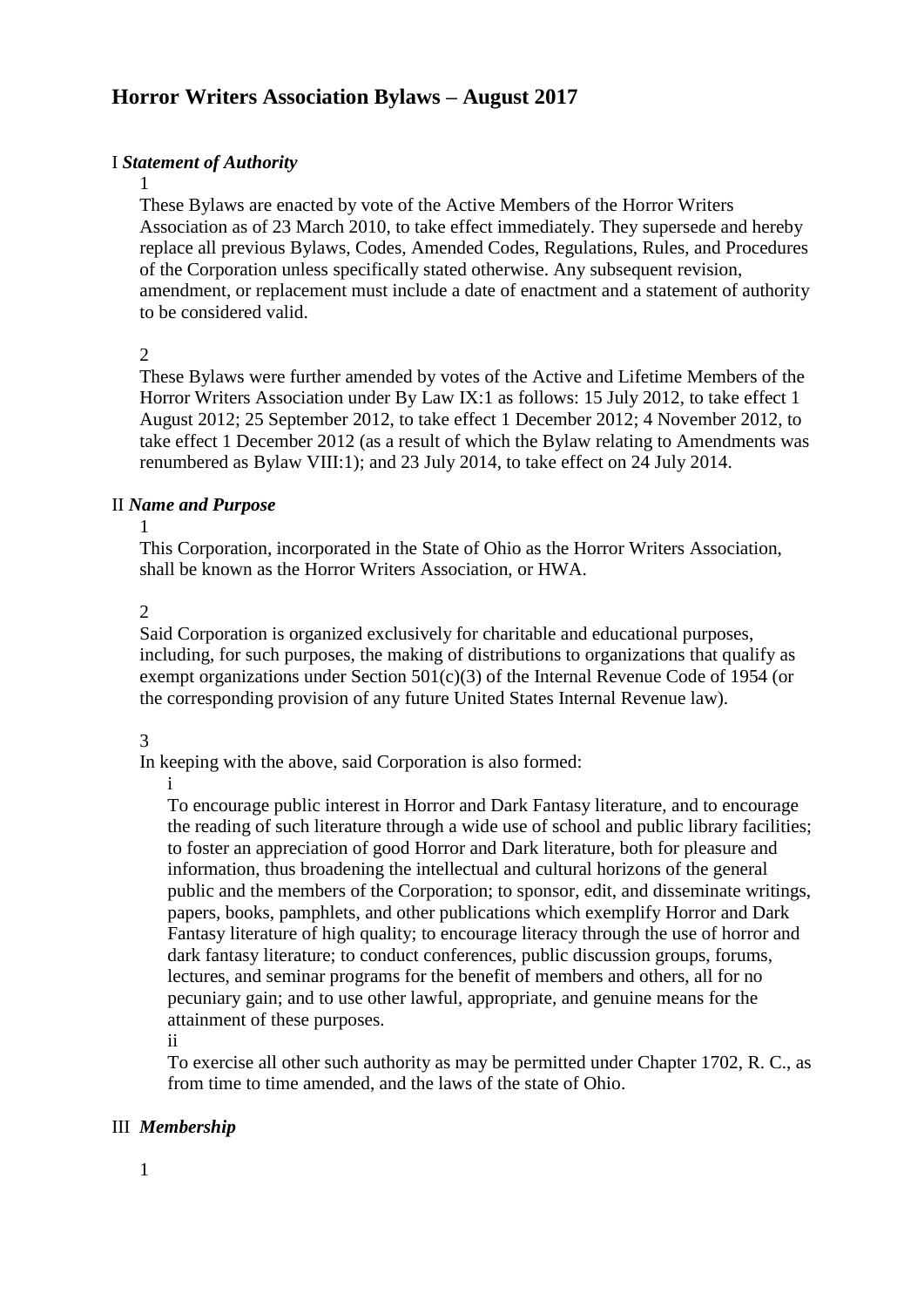# **Horror Writers Association Bylaws – August 2017**

# I *Statement of Authority*

These Bylaws are enacted by vote of the Active Members of the Horror Writers Association as of 23 March 2010, to take effect immediately. They supersede and hereby replace all previous Bylaws, Codes, Amended Codes, Regulations, Rules, and Procedures of the Corporation unless specifically stated otherwise. Any subsequent revision, amendment, or replacement must include a date of enactment and a statement of authority to be considered valid.

 $\mathcal{D}$ 

1

These Bylaws were further amended by votes of the Active and Lifetime Members of the Horror Writers Association under By Law IX:1 as follows: 15 July 2012, to take effect 1 August 2012; 25 September 2012, to take effect 1 December 2012; 4 November 2012, to take effect 1 December 2012 (as a result of which the Bylaw relating to Amendments was renumbered as Bylaw VIII:1); and 23 July 2014, to take effect on 24 July 2014.

# II *Name and Purpose*

1

This Corporation, incorporated in the State of Ohio as the Horror Writers Association, shall be known as the Horror Writers Association, or HWA.

2

Said Corporation is organized exclusively for charitable and educational purposes, including, for such purposes, the making of distributions to organizations that qualify as exempt organizations under Section 501(c)(3) of the Internal Revenue Code of 1954 (or the corresponding provision of any future United States Internal Revenue law).

# 3

In keeping with the above, said Corporation is also formed:

i

To encourage public interest in Horror and Dark Fantasy literature, and to encourage the reading of such literature through a wide use of school and public library facilities; to foster an appreciation of good Horror and Dark literature, both for pleasure and information, thus broadening the intellectual and cultural horizons of the general public and the members of the Corporation; to sponsor, edit, and disseminate writings, papers, books, pamphlets, and other publications which exemplify Horror and Dark Fantasy literature of high quality; to encourage literacy through the use of horror and dark fantasy literature; to conduct conferences, public discussion groups, forums, lectures, and seminar programs for the benefit of members and others, all for no pecuniary gain; and to use other lawful, appropriate, and genuine means for the attainment of these purposes.

ii

To exercise all other such authority as may be permitted under Chapter 1702, R. C., as from time to time amended, and the laws of the state of Ohio.

# III *Membership*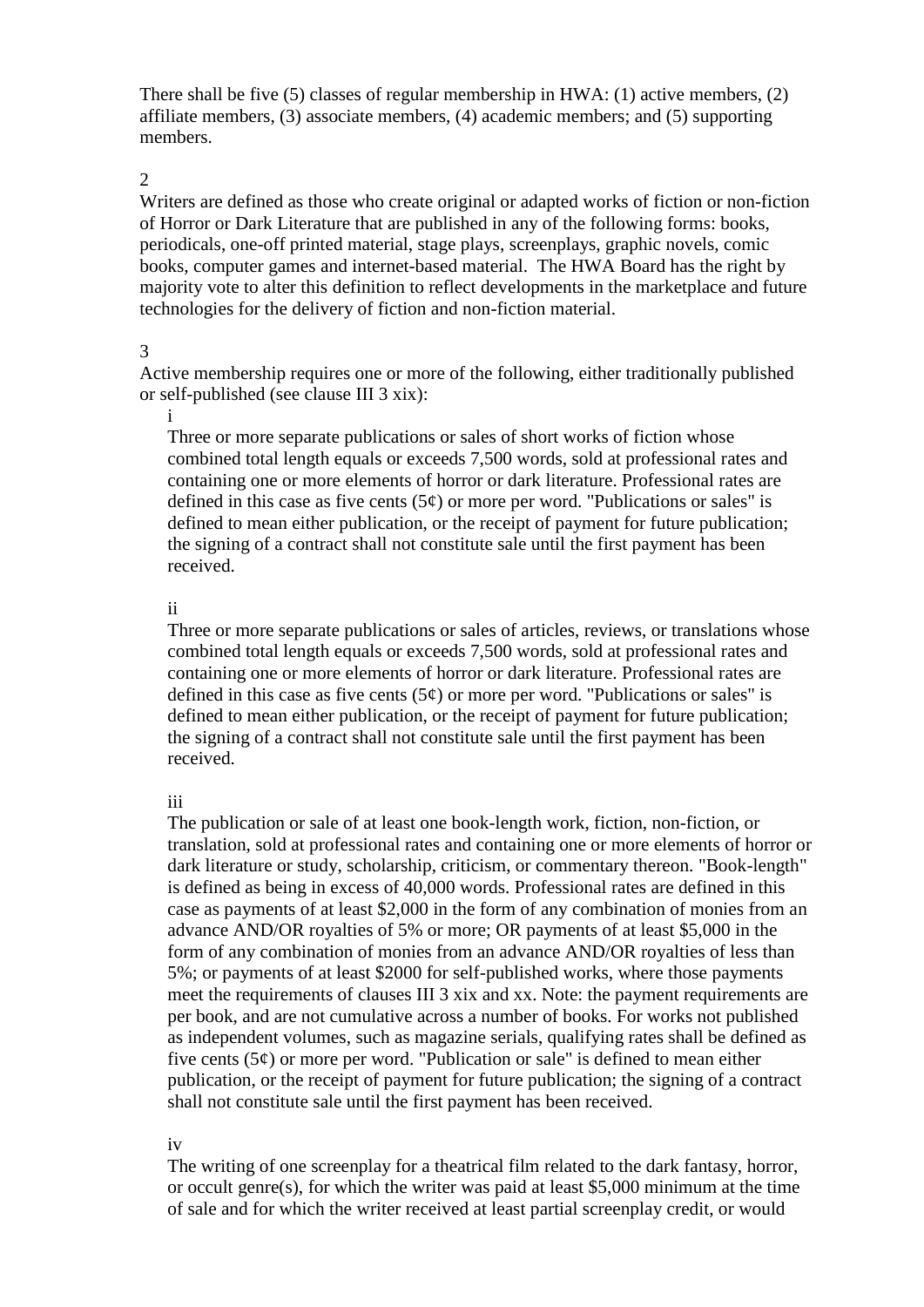There shall be five (5) classes of regular membership in HWA: (1) active members, (2) affiliate members, (3) associate members, (4) academic members; and (5) supporting members.

#### $\mathcal{L}$

Writers are defined as those who create original or adapted works of fiction or non-fiction of Horror or Dark Literature that are published in any of the following forms: books, periodicals, one-off printed material, stage plays, screenplays, graphic novels, comic books, computer games and internet-based material. The HWA Board has the right by majority vote to alter this definition to reflect developments in the marketplace and future technologies for the delivery of fiction and non-fiction material.

#### 3

Active membership requires one or more of the following, either traditionally published or self-published (see clause III 3 xix):

#### i

Three or more separate publications or sales of short works of fiction whose combined total length equals or exceeds 7,500 words, sold at professional rates and containing one or more elements of horror or dark literature. Professional rates are defined in this case as five cents  $(5¢)$  or more per word. "Publications or sales" is defined to mean either publication, or the receipt of payment for future publication; the signing of a contract shall not constitute sale until the first payment has been received.

#### ii

Three or more separate publications or sales of articles, reviews, or translations whose combined total length equals or exceeds 7,500 words, sold at professional rates and containing one or more elements of horror or dark literature. Professional rates are defined in this case as five cents  $(5¢)$  or more per word. "Publications or sales" is defined to mean either publication, or the receipt of payment for future publication; the signing of a contract shall not constitute sale until the first payment has been received.

#### iii

The publication or sale of at least one book-length work, fiction, non-fiction, or translation, sold at professional rates and containing one or more elements of horror or dark literature or study, scholarship, criticism, or commentary thereon. "Book-length" is defined as being in excess of 40,000 words. Professional rates are defined in this case as payments of at least \$2,000 in the form of any combination of monies from an advance AND/OR royalties of 5% or more; OR payments of at least \$5,000 in the form of any combination of monies from an advance AND/OR royalties of less than 5%; or payments of at least \$2000 for self-published works, where those payments meet the requirements of clauses III 3 xix and xx. Note: the payment requirements are per book, and are not cumulative across a number of books. For works not published as independent volumes, such as magazine serials, qualifying rates shall be defined as five cents  $(5¢)$  or more per word. "Publication or sale" is defined to mean either publication, or the receipt of payment for future publication; the signing of a contract shall not constitute sale until the first payment has been received.

### iv

The writing of one screenplay for a theatrical film related to the dark fantasy, horror, or occult genre(s), for which the writer was paid at least \$5,000 minimum at the time of sale and for which the writer received at least partial screenplay credit, or would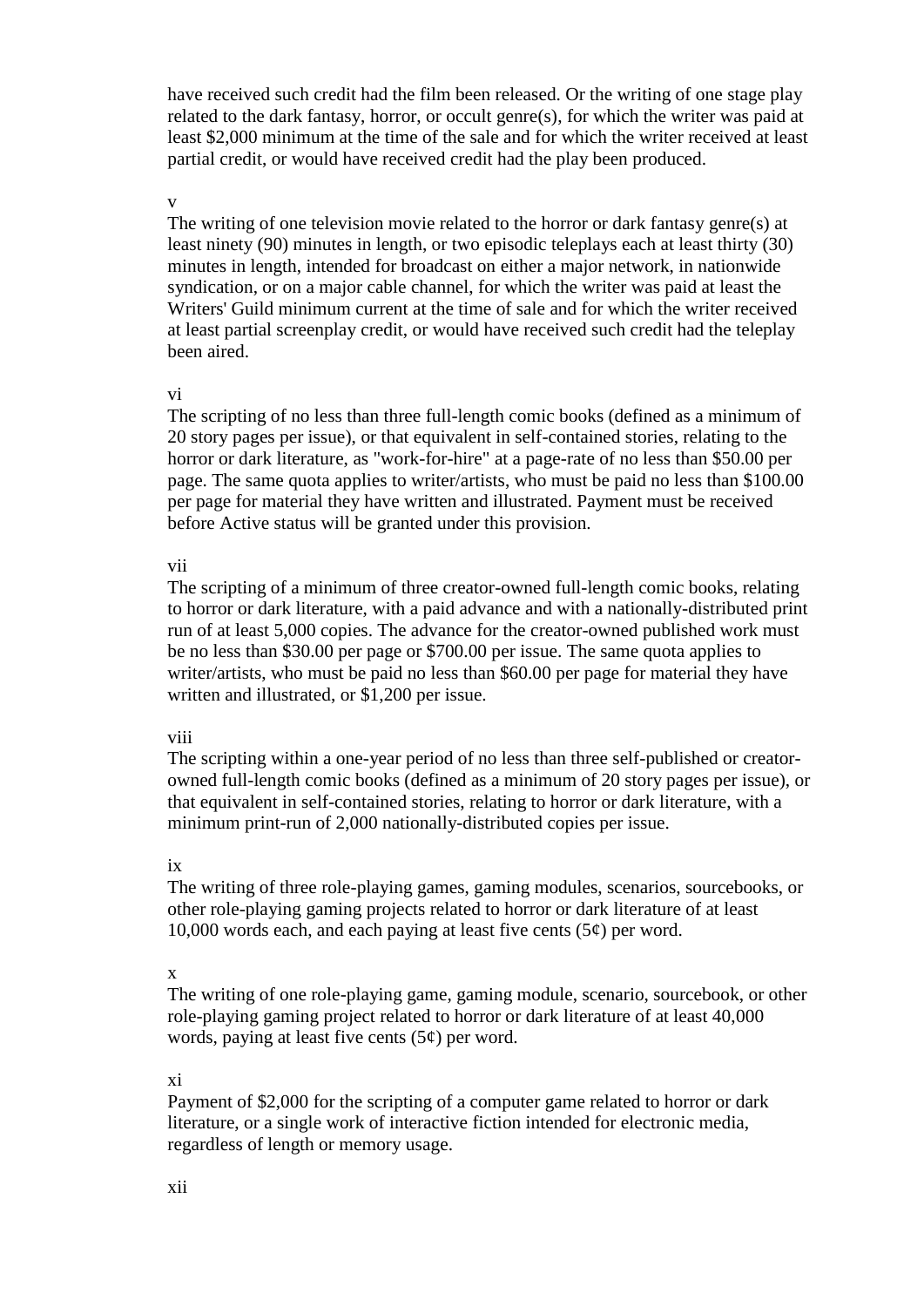have received such credit had the film been released. Or the writing of one stage play related to the dark fantasy, horror, or occult genre(s), for which the writer was paid at least \$2,000 minimum at the time of the sale and for which the writer received at least partial credit, or would have received credit had the play been produced.

#### v

The writing of one television movie related to the horror or dark fantasy genre(s) at least ninety (90) minutes in length, or two episodic teleplays each at least thirty (30) minutes in length, intended for broadcast on either a major network, in nationwide syndication, or on a major cable channel, for which the writer was paid at least the Writers' Guild minimum current at the time of sale and for which the writer received at least partial screenplay credit, or would have received such credit had the teleplay been aired.

#### vi

The scripting of no less than three full-length comic books (defined as a minimum of 20 story pages per issue), or that equivalent in self-contained stories, relating to the horror or dark literature, as "work-for-hire" at a page-rate of no less than \$50.00 per page. The same quota applies to writer/artists, who must be paid no less than \$100.00 per page for material they have written and illustrated. Payment must be received before Active status will be granted under this provision.

#### vii

The scripting of a minimum of three creator-owned full-length comic books, relating to horror or dark literature, with a paid advance and with a nationally-distributed print run of at least 5,000 copies. The advance for the creator-owned published work must be no less than \$30.00 per page or \$700.00 per issue. The same quota applies to writer/artists, who must be paid no less than \$60.00 per page for material they have written and illustrated, or \$1,200 per issue.

## viii

The scripting within a one-year period of no less than three self-published or creatorowned full-length comic books (defined as a minimum of 20 story pages per issue), or that equivalent in self-contained stories, relating to horror or dark literature, with a minimum print-run of 2,000 nationally-distributed copies per issue.

## ix

The writing of three role-playing games, gaming modules, scenarios, sourcebooks, or other role-playing gaming projects related to horror or dark literature of at least 10,000 words each, and each paying at least five cents  $(5¢)$  per word.

## x

The writing of one role-playing game, gaming module, scenario, sourcebook, or other role-playing gaming project related to horror or dark literature of at least 40,000 words, paying at least five cents  $(5¢)$  per word.

## xi

Payment of \$2,000 for the scripting of a computer game related to horror or dark literature, or a single work of interactive fiction intended for electronic media, regardless of length or memory usage.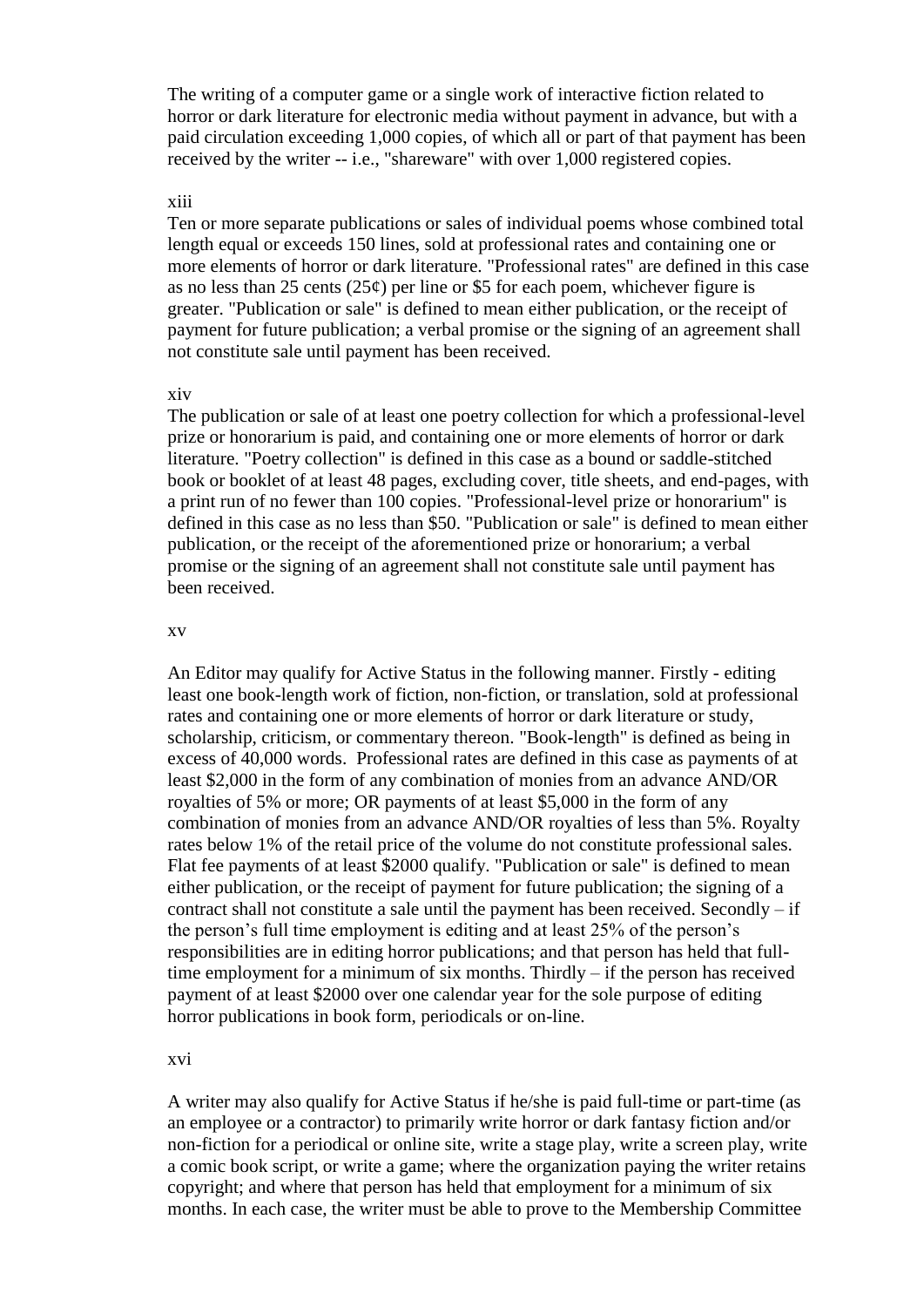The writing of a computer game or a single work of interactive fiction related to horror or dark literature for electronic media without payment in advance, but with a paid circulation exceeding 1,000 copies, of which all or part of that payment has been received by the writer -- i.e., "shareware" with over 1,000 registered copies.

#### xiii

Ten or more separate publications or sales of individual poems whose combined total length equal or exceeds 150 lines, sold at professional rates and containing one or more elements of horror or dark literature. "Professional rates" are defined in this case as no less than 25 cents (25 $\varphi$ ) per line or \$5 for each poem, whichever figure is greater. "Publication or sale" is defined to mean either publication, or the receipt of payment for future publication; a verbal promise or the signing of an agreement shall not constitute sale until payment has been received.

#### xiv

The publication or sale of at least one poetry collection for which a professional-level prize or honorarium is paid, and containing one or more elements of horror or dark literature. "Poetry collection" is defined in this case as a bound or saddle-stitched book or booklet of at least 48 pages, excluding cover, title sheets, and end-pages, with a print run of no fewer than 100 copies. "Professional-level prize or honorarium" is defined in this case as no less than \$50. "Publication or sale" is defined to mean either publication, or the receipt of the aforementioned prize or honorarium; a verbal promise or the signing of an agreement shall not constitute sale until payment has been received.

#### xv

An Editor may qualify for Active Status in the following manner. Firstly - editing least one book-length work of fiction, non-fiction, or translation, sold at professional rates and containing one or more elements of horror or dark literature or study, scholarship, criticism, or commentary thereon. "Book-length" is defined as being in excess of 40,000 words. Professional rates are defined in this case as payments of at least \$2,000 in the form of any combination of monies from an advance AND/OR royalties of 5% or more; OR payments of at least \$5,000 in the form of any combination of monies from an advance AND/OR royalties of less than 5%. Royalty rates below 1% of the retail price of the volume do not constitute professional sales. Flat fee payments of at least \$2000 qualify. "Publication or sale" is defined to mean either publication, or the receipt of payment for future publication; the signing of a contract shall not constitute a sale until the payment has been received. Secondly – if the person's full time employment is editing and at least 25% of the person's responsibilities are in editing horror publications; and that person has held that fulltime employment for a minimum of six months. Thirdly – if the person has received payment of at least \$2000 over one calendar year for the sole purpose of editing horror publications in book form, periodicals or on-line.

#### xvi

A writer may also qualify for Active Status if he/she is paid full-time or part-time (as an employee or a contractor) to primarily write horror or dark fantasy fiction and/or non-fiction for a periodical or online site, write a stage play, write a screen play, write a comic book script, or write a game; where the organization paying the writer retains copyright; and where that person has held that employment for a minimum of six months. In each case, the writer must be able to prove to the Membership Committee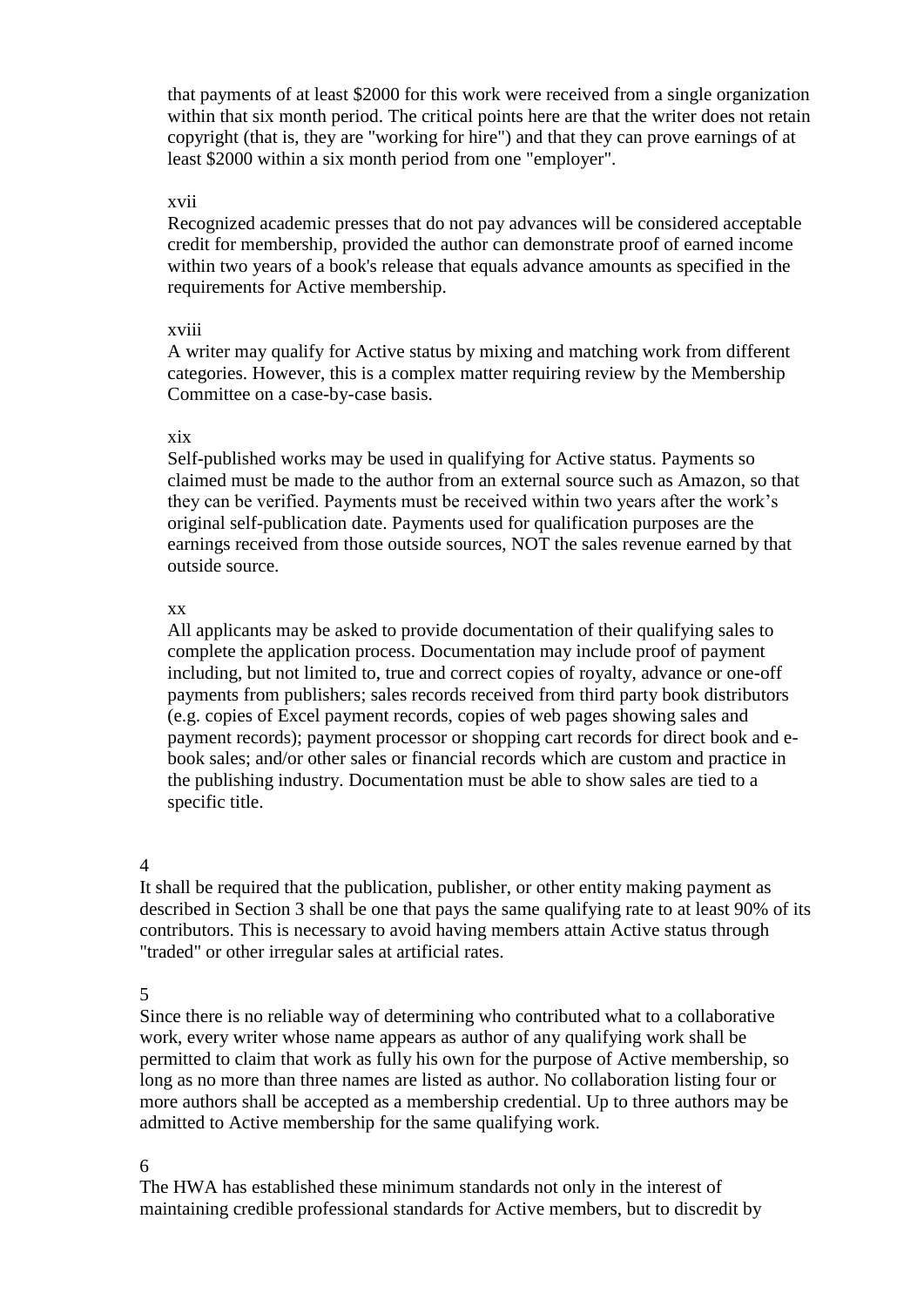that payments of at least \$2000 for this work were received from a single organization within that six month period. The critical points here are that the writer does not retain copyright (that is, they are "working for hire") and that they can prove earnings of at least \$2000 within a six month period from one "employer".

#### xvii

Recognized academic presses that do not pay advances will be considered acceptable credit for membership, provided the author can demonstrate proof of earned income within two years of a book's release that equals advance amounts as specified in the requirements for Active membership.

#### xviii

A writer may qualify for Active status by mixing and matching work from different categories. However, this is a complex matter requiring review by the Membership Committee on a case-by-case basis.

### xix

Self-published works may be used in qualifying for Active status. Payments so claimed must be made to the author from an external source such as Amazon, so that they can be verified. Payments must be received within two years after the work's original self-publication date. Payments used for qualification purposes are the earnings received from those outside sources, NOT the sales revenue earned by that outside source.

### xx

All applicants may be asked to provide documentation of their qualifying sales to complete the application process. Documentation may include proof of payment including, but not limited to, true and correct copies of royalty, advance or one-off payments from publishers; sales records received from third party book distributors (e.g. copies of Excel payment records, copies of web pages showing sales and payment records); payment processor or shopping cart records for direct book and ebook sales; and/or other sales or financial records which are custom and practice in the publishing industry. Documentation must be able to show sales are tied to a specific title.

## 4

It shall be required that the publication, publisher, or other entity making payment as described in Section 3 shall be one that pays the same qualifying rate to at least 90% of its contributors. This is necessary to avoid having members attain Active status through "traded" or other irregular sales at artificial rates.

# 5

Since there is no reliable way of determining who contributed what to a collaborative work, every writer whose name appears as author of any qualifying work shall be permitted to claim that work as fully his own for the purpose of Active membership, so long as no more than three names are listed as author. No collaboration listing four or more authors shall be accepted as a membership credential. Up to three authors may be admitted to Active membership for the same qualifying work.

### 6

The HWA has established these minimum standards not only in the interest of maintaining credible professional standards for Active members, but to discredit by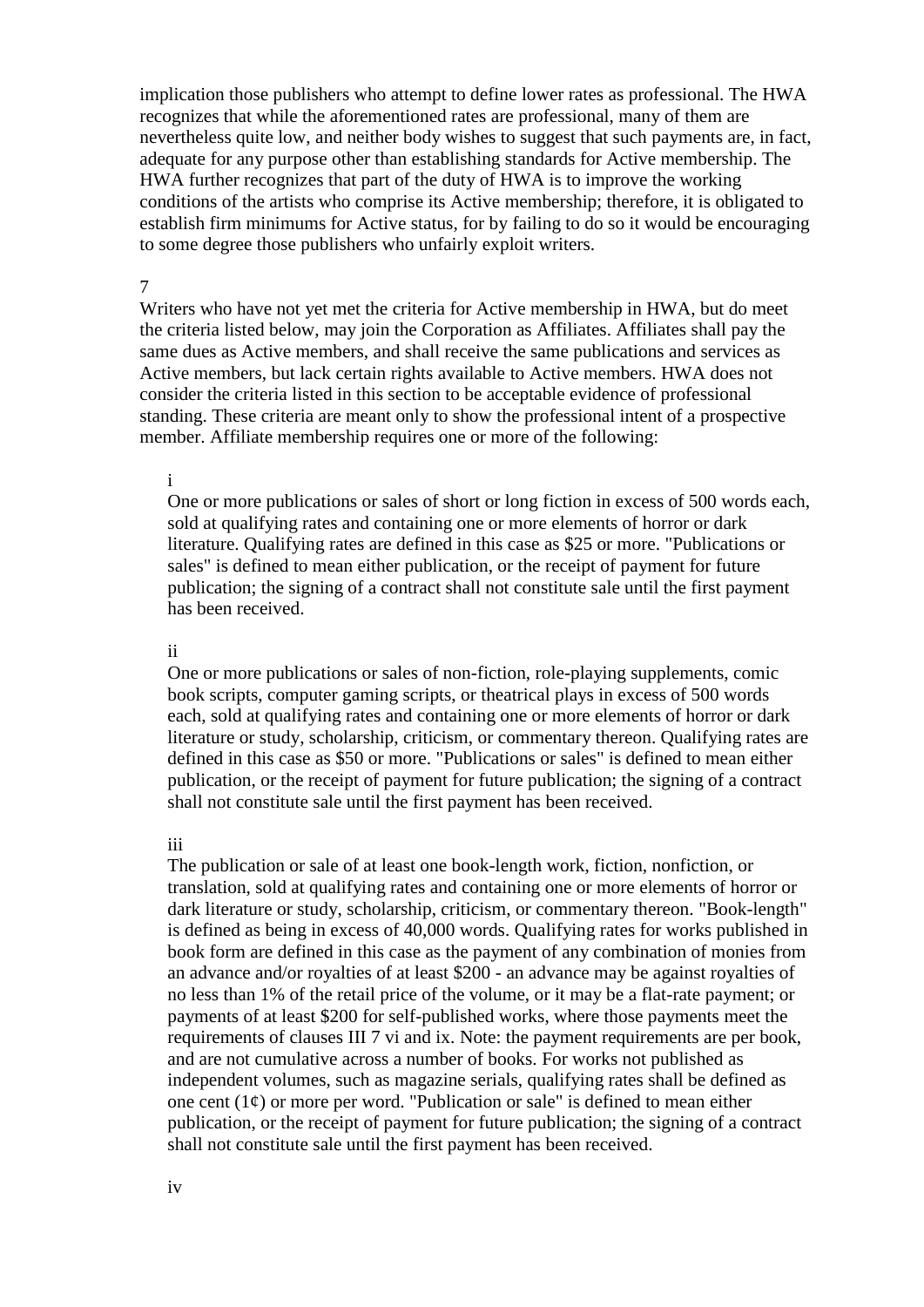implication those publishers who attempt to define lower rates as professional. The HWA recognizes that while the aforementioned rates are professional, many of them are nevertheless quite low, and neither body wishes to suggest that such payments are, in fact, adequate for any purpose other than establishing standards for Active membership. The HWA further recognizes that part of the duty of HWA is to improve the working conditions of the artists who comprise its Active membership; therefore, it is obligated to establish firm minimums for Active status, for by failing to do so it would be encouraging to some degree those publishers who unfairly exploit writers.

#### 7

Writers who have not yet met the criteria for Active membership in HWA, but do meet the criteria listed below, may join the Corporation as Affiliates. Affiliates shall pay the same dues as Active members, and shall receive the same publications and services as Active members, but lack certain rights available to Active members. HWA does not consider the criteria listed in this section to be acceptable evidence of professional standing. These criteria are meant only to show the professional intent of a prospective member. Affiliate membership requires one or more of the following:

#### i

One or more publications or sales of short or long fiction in excess of 500 words each, sold at qualifying rates and containing one or more elements of horror or dark literature. Qualifying rates are defined in this case as \$25 or more. "Publications or sales" is defined to mean either publication, or the receipt of payment for future publication; the signing of a contract shall not constitute sale until the first payment has been received.

#### ii

One or more publications or sales of non-fiction, role-playing supplements, comic book scripts, computer gaming scripts, or theatrical plays in excess of 500 words each, sold at qualifying rates and containing one or more elements of horror or dark literature or study, scholarship, criticism, or commentary thereon. Qualifying rates are defined in this case as \$50 or more. "Publications or sales" is defined to mean either publication, or the receipt of payment for future publication; the signing of a contract shall not constitute sale until the first payment has been received.

#### iii

The publication or sale of at least one book-length work, fiction, nonfiction, or translation, sold at qualifying rates and containing one or more elements of horror or dark literature or study, scholarship, criticism, or commentary thereon. "Book-length" is defined as being in excess of 40,000 words. Qualifying rates for works published in book form are defined in this case as the payment of any combination of monies from an advance and/or royalties of at least \$200 - an advance may be against royalties of no less than 1% of the retail price of the volume, or it may be a flat-rate payment; or payments of at least \$200 for self-published works, where those payments meet the requirements of clauses III 7 vi and ix. Note: the payment requirements are per book, and are not cumulative across a number of books. For works not published as independent volumes, such as magazine serials, qualifying rates shall be defined as one cent  $(1¢)$  or more per word. "Publication or sale" is defined to mean either publication, or the receipt of payment for future publication; the signing of a contract shall not constitute sale until the first payment has been received.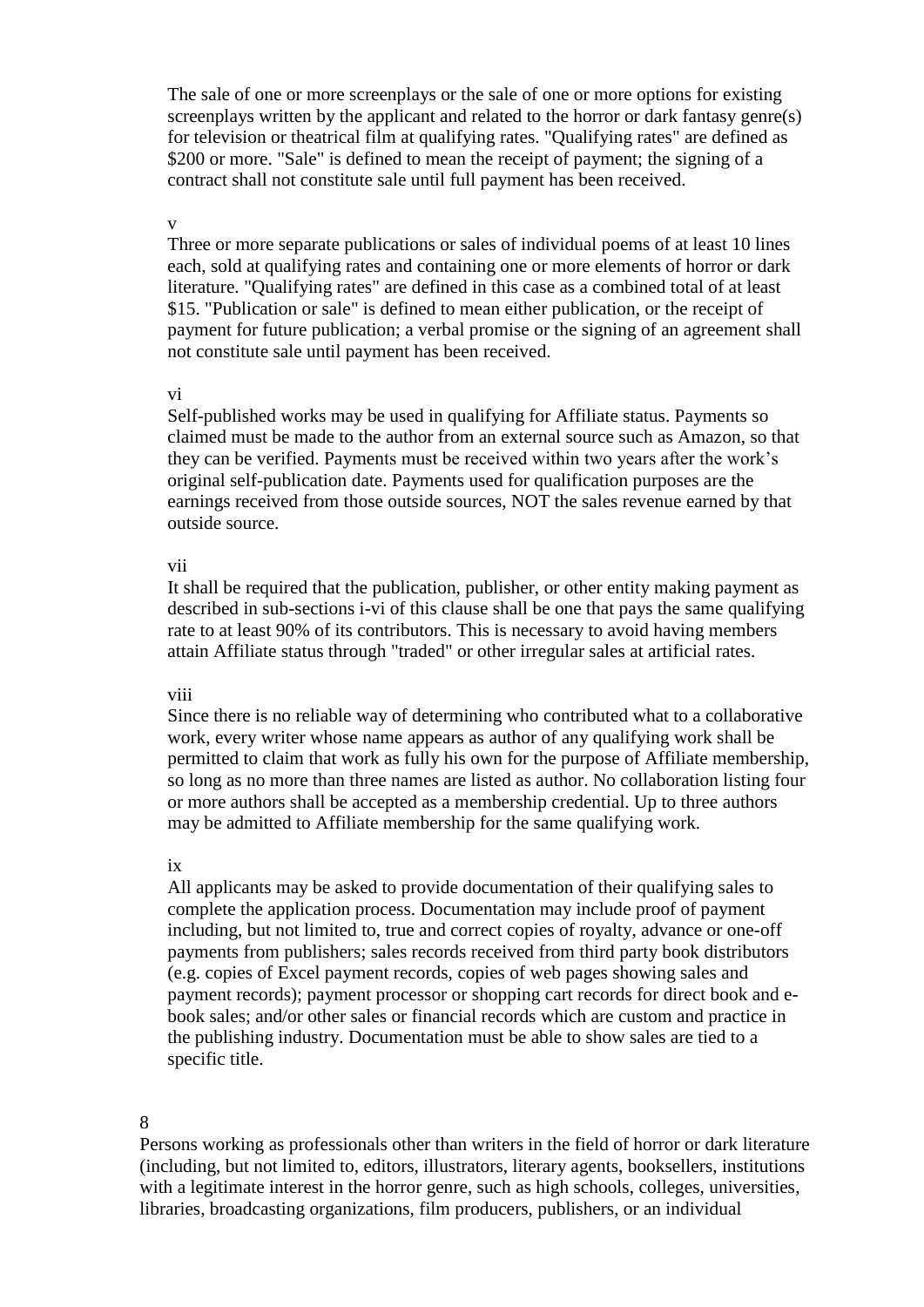The sale of one or more screenplays or the sale of one or more options for existing screenplays written by the applicant and related to the horror or dark fantasy genre(s) for television or theatrical film at qualifying rates. "Qualifying rates" are defined as \$200 or more. "Sale" is defined to mean the receipt of payment; the signing of a contract shall not constitute sale until full payment has been received.

#### v

Three or more separate publications or sales of individual poems of at least 10 lines each, sold at qualifying rates and containing one or more elements of horror or dark literature. "Qualifying rates" are defined in this case as a combined total of at least \$15. "Publication or sale" is defined to mean either publication, or the receipt of payment for future publication; a verbal promise or the signing of an agreement shall not constitute sale until payment has been received.

#### vi

Self-published works may be used in qualifying for Affiliate status. Payments so claimed must be made to the author from an external source such as Amazon, so that they can be verified. Payments must be received within two years after the work's original self-publication date. Payments used for qualification purposes are the earnings received from those outside sources, NOT the sales revenue earned by that outside source.

#### vii

It shall be required that the publication, publisher, or other entity making payment as described in sub-sections i-vi of this clause shall be one that pays the same qualifying rate to at least 90% of its contributors. This is necessary to avoid having members attain Affiliate status through "traded" or other irregular sales at artificial rates.

#### viii

Since there is no reliable way of determining who contributed what to a collaborative work, every writer whose name appears as author of any qualifying work shall be permitted to claim that work as fully his own for the purpose of Affiliate membership, so long as no more than three names are listed as author. No collaboration listing four or more authors shall be accepted as a membership credential. Up to three authors may be admitted to Affiliate membership for the same qualifying work.

#### ix

All applicants may be asked to provide documentation of their qualifying sales to complete the application process. Documentation may include proof of payment including, but not limited to, true and correct copies of royalty, advance or one-off payments from publishers; sales records received from third party book distributors (e.g. copies of Excel payment records, copies of web pages showing sales and payment records); payment processor or shopping cart records for direct book and ebook sales; and/or other sales or financial records which are custom and practice in the publishing industry. Documentation must be able to show sales are tied to a specific title.

#### 8

Persons working as professionals other than writers in the field of horror or dark literature (including, but not limited to, editors, illustrators, literary agents, booksellers, institutions with a legitimate interest in the horror genre, such as high schools, colleges, universities, libraries, broadcasting organizations, film producers, publishers, or an individual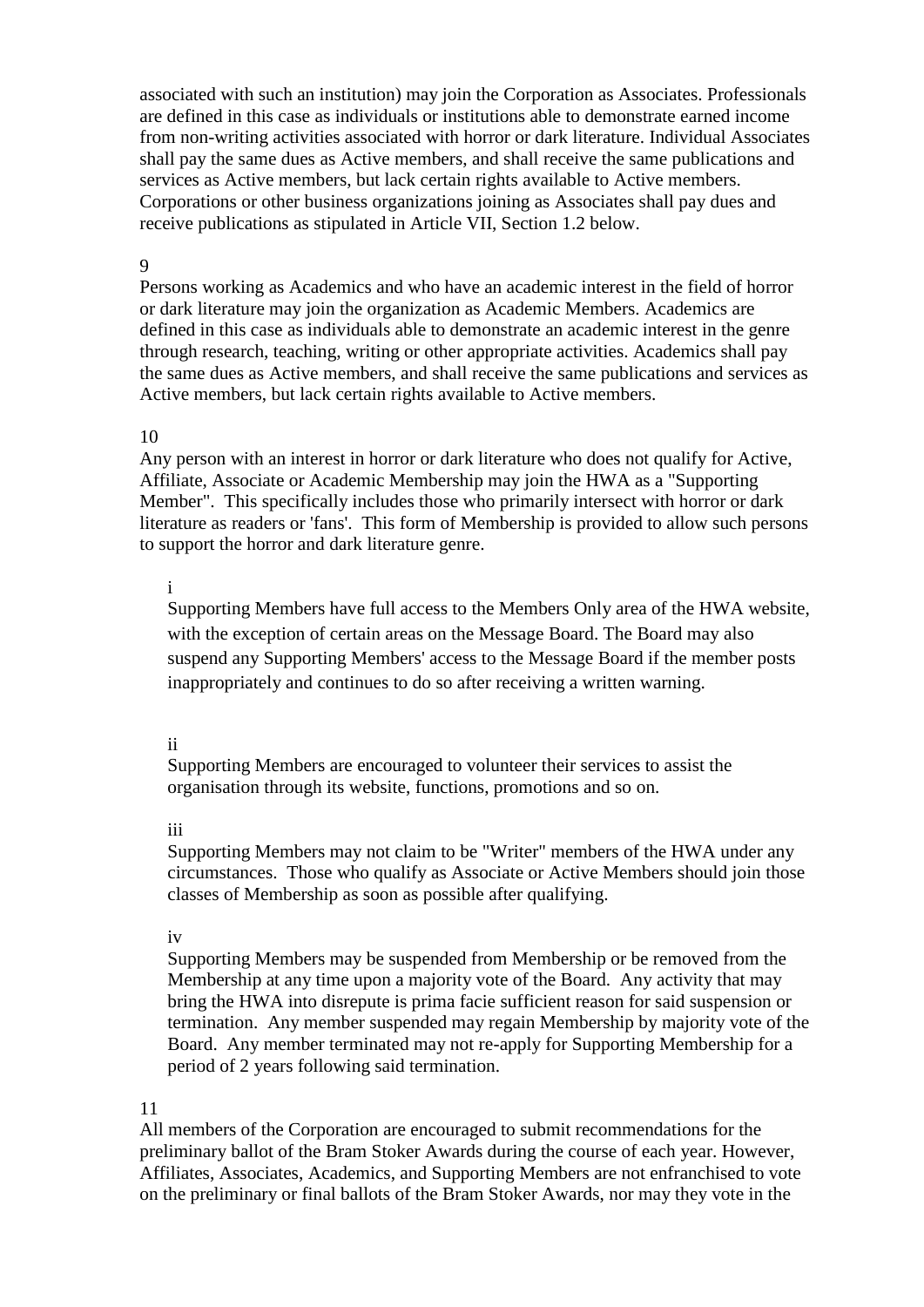associated with such an institution) may join the Corporation as Associates. Professionals are defined in this case as individuals or institutions able to demonstrate earned income from non-writing activities associated with horror or dark literature. Individual Associates shall pay the same dues as Active members, and shall receive the same publications and services as Active members, but lack certain rights available to Active members. Corporations or other business organizations joining as Associates shall pay dues and receive publications as stipulated in Article VII, Section 1.2 below.

### 9

Persons working as Academics and who have an academic interest in the field of horror or dark literature may join the organization as Academic Members. Academics are defined in this case as individuals able to demonstrate an academic interest in the genre through research, teaching, writing or other appropriate activities. Academics shall pay the same dues as Active members, and shall receive the same publications and services as Active members, but lack certain rights available to Active members.

## 10

Any person with an interest in horror or dark literature who does not qualify for Active, Affiliate, Associate or Academic Membership may join the HWA as a "Supporting Member". This specifically includes those who primarily intersect with horror or dark literature as readers or 'fans'. This form of Membership is provided to allow such persons to support the horror and dark literature genre.

### i

Supporting Members have full access to the Members Only area of the HWA website, with the exception of certain areas on the Message Board. The Board may also suspend any Supporting Members' access to the Message Board if the member posts inappropriately and continues to do so after receiving a written warning.

#### ii

Supporting Members are encouraged to volunteer their services to assist the organisation through its website, functions, promotions and so on.

#### iii

Supporting Members may not claim to be "Writer" members of the HWA under any circumstances. Those who qualify as Associate or Active Members should join those classes of Membership as soon as possible after qualifying.

#### iv

Supporting Members may be suspended from Membership or be removed from the Membership at any time upon a majority vote of the Board. Any activity that may bring the HWA into disrepute is prima facie sufficient reason for said suspension or termination. Any member suspended may regain Membership by majority vote of the Board. Any member terminated may not re-apply for Supporting Membership for a period of 2 years following said termination.

#### 11

All members of the Corporation are encouraged to submit recommendations for the preliminary ballot of the Bram Stoker Awards during the course of each year. However, Affiliates, Associates, Academics, and Supporting Members are not enfranchised to vote on the preliminary or final ballots of the Bram Stoker Awards, nor may they vote in the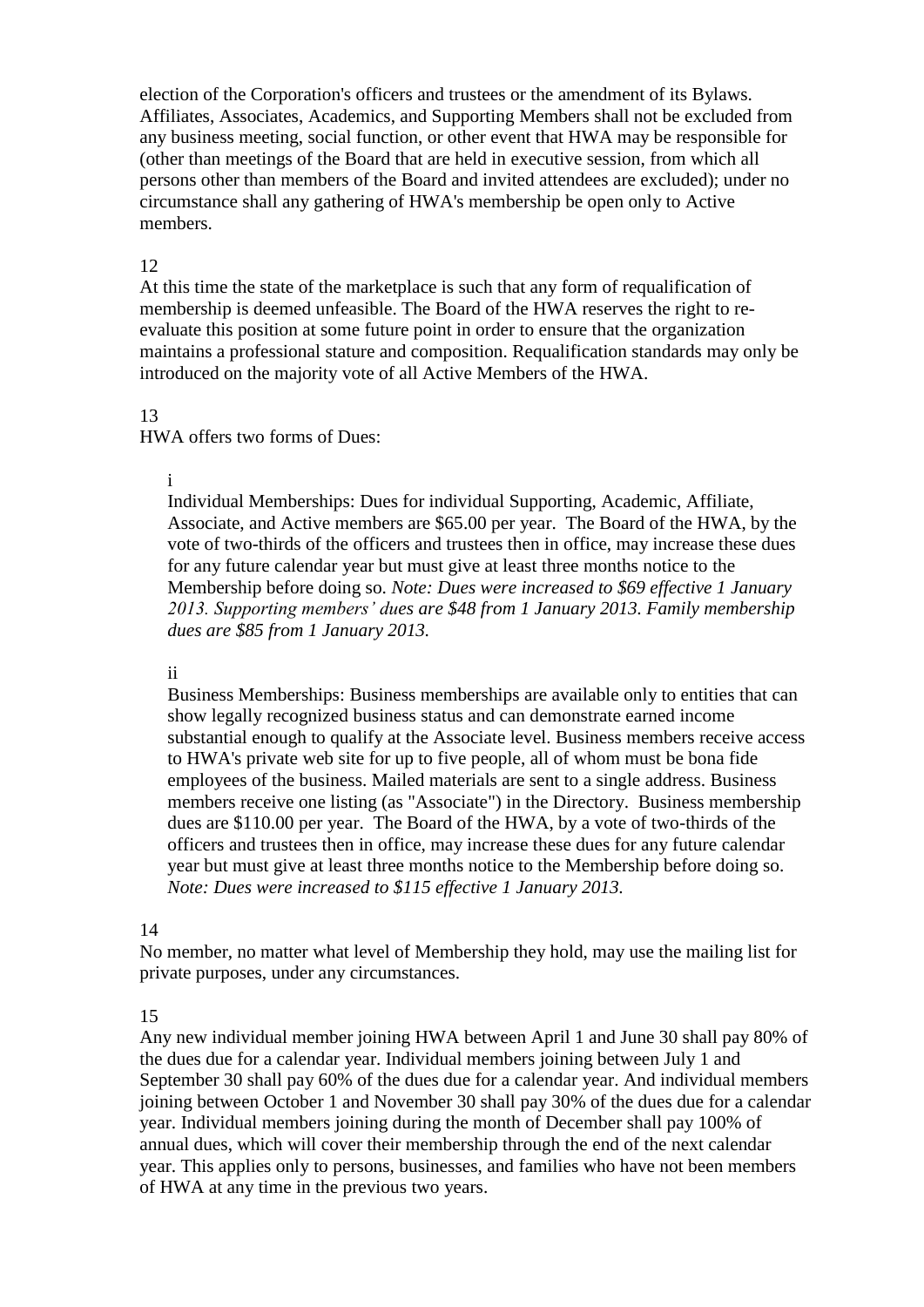election of the Corporation's officers and trustees or the amendment of its Bylaws. Affiliates, Associates, Academics, and Supporting Members shall not be excluded from any business meeting, social function, or other event that HWA may be responsible for (other than meetings of the Board that are held in executive session, from which all persons other than members of the Board and invited attendees are excluded); under no circumstance shall any gathering of HWA's membership be open only to Active members.

## 12

At this time the state of the marketplace is such that any form of requalification of membership is deemed unfeasible. The Board of the HWA reserves the right to reevaluate this position at some future point in order to ensure that the organization maintains a professional stature and composition. Requalification standards may only be introduced on the majority vote of all Active Members of the HWA.

## 13

HWA offers two forms of Dues:

# i

Individual Memberships: Dues for individual Supporting, Academic, Affiliate, Associate, and Active members are \$65.00 per year. The Board of the HWA, by the vote of two-thirds of the officers and trustees then in office, may increase these dues for any future calendar year but must give at least three months notice to the Membership before doing so. *Note: Dues were increased to \$69 effective 1 January 2013. Supporting members' dues are \$48 from 1 January 2013. Family membership dues are \$85 from 1 January 2013.* 

## ii

Business Memberships: Business memberships are available only to entities that can show legally recognized business status and can demonstrate earned income substantial enough to qualify at the Associate level. Business members receive access to HWA's private web site for up to five people, all of whom must be bona fide employees of the business. Mailed materials are sent to a single address. Business members receive one listing (as "Associate") in the Directory. Business membership dues are \$110.00 per year. The Board of the HWA, by a vote of two-thirds of the officers and trustees then in office, may increase these dues for any future calendar year but must give at least three months notice to the Membership before doing so. *Note: Dues were increased to \$115 effective 1 January 2013.* 

## 14

No member, no matter what level of Membership they hold, may use the mailing list for private purposes, under any circumstances.

## 15

Any new individual member joining HWA between April 1 and June 30 shall pay 80% of the dues due for a calendar year. Individual members joining between July 1 and September 30 shall pay 60% of the dues due for a calendar year. And individual members joining between October 1 and November 30 shall pay 30% of the dues due for a calendar year. Individual members joining during the month of December shall pay 100% of annual dues, which will cover their membership through the end of the next calendar year. This applies only to persons, businesses, and families who have not been members of HWA at any time in the previous two years.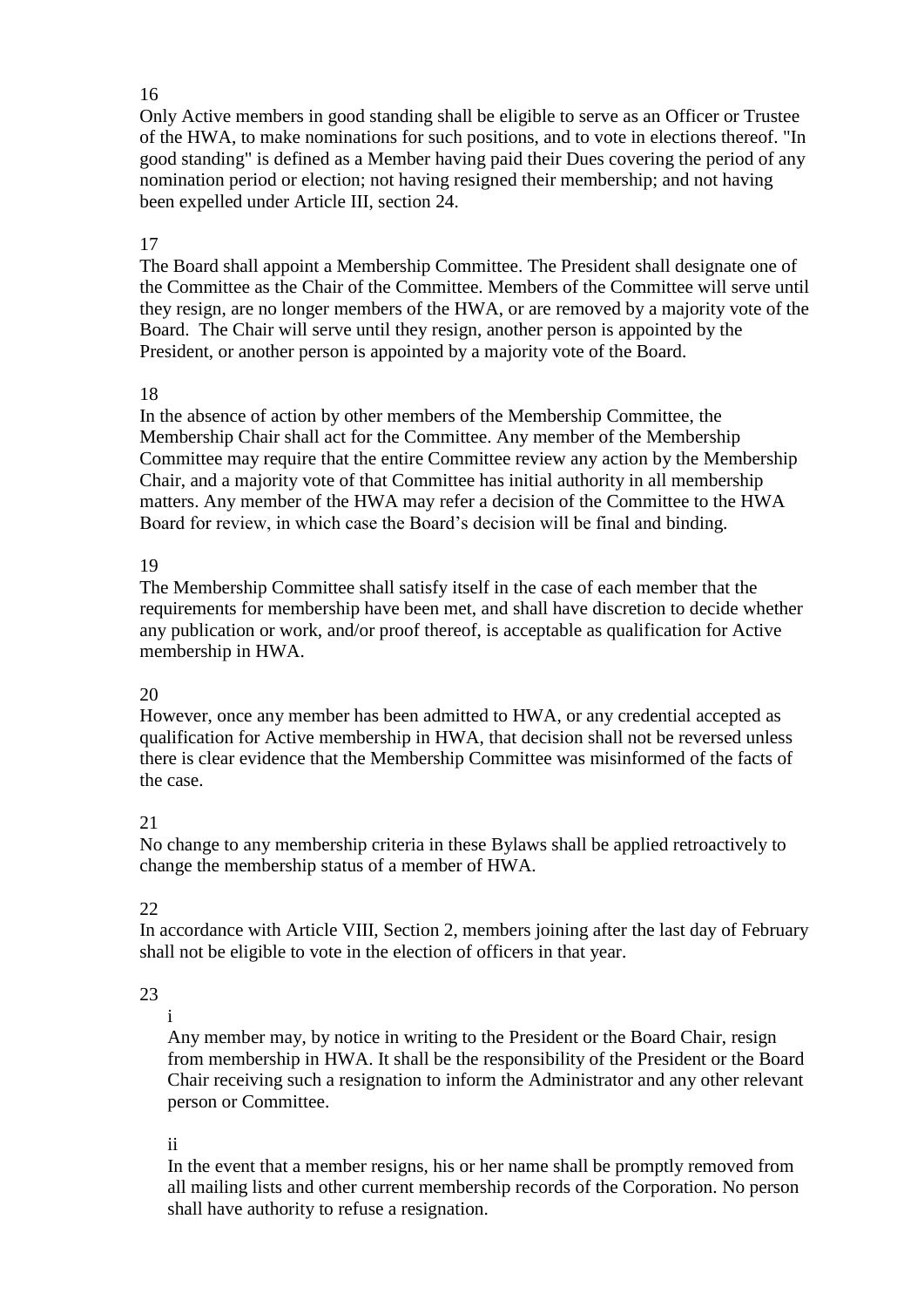## 16

Only Active members in good standing shall be eligible to serve as an Officer or Trustee of the HWA, to make nominations for such positions, and to vote in elections thereof. "In good standing" is defined as a Member having paid their Dues covering the period of any nomination period or election; not having resigned their membership; and not having been expelled under Article III, section 24.

# 17

The Board shall appoint a Membership Committee. The President shall designate one of the Committee as the Chair of the Committee. Members of the Committee will serve until they resign, are no longer members of the HWA, or are removed by a majority vote of the Board. The Chair will serve until they resign, another person is appointed by the President, or another person is appointed by a majority vote of the Board.

## 18

In the absence of action by other members of the Membership Committee, the Membership Chair shall act for the Committee. Any member of the Membership Committee may require that the entire Committee review any action by the Membership Chair, and a majority vote of that Committee has initial authority in all membership matters. Any member of the HWA may refer a decision of the Committee to the HWA Board for review, in which case the Board's decision will be final and binding.

# 19

The Membership Committee shall satisfy itself in the case of each member that the requirements for membership have been met, and shall have discretion to decide whether any publication or work, and/or proof thereof, is acceptable as qualification for Active membership in HWA.

# 20

However, once any member has been admitted to HWA, or any credential accepted as qualification for Active membership in HWA, that decision shall not be reversed unless there is clear evidence that the Membership Committee was misinformed of the facts of the case.

# 21

No change to any membership criteria in these Bylaws shall be applied retroactively to change the membership status of a member of HWA.

# 22

In accordance with Article VIII, Section 2, members joining after the last day of February shall not be eligible to vote in the election of officers in that year.

# 23

i

Any member may, by notice in writing to the President or the Board Chair, resign from membership in HWA. It shall be the responsibility of the President or the Board Chair receiving such a resignation to inform the Administrator and any other relevant person or Committee.

# ii

In the event that a member resigns, his or her name shall be promptly removed from all mailing lists and other current membership records of the Corporation. No person shall have authority to refuse a resignation.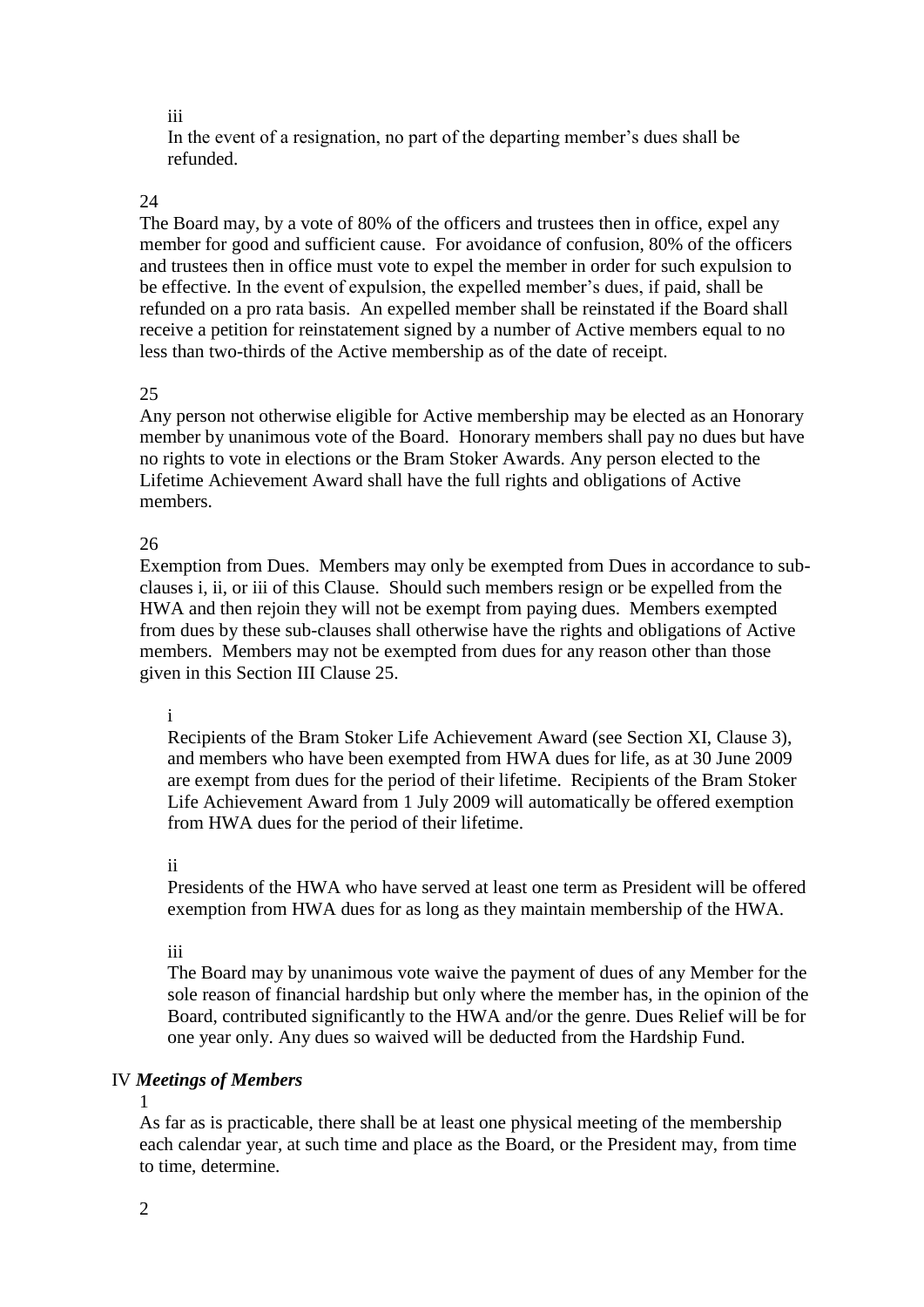iii

In the event of a resignation, no part of the departing member's dues shall be refunded.

# 24

The Board may, by a vote of 80% of the officers and trustees then in office, expel any member for good and sufficient cause. For avoidance of confusion, 80% of the officers and trustees then in office must vote to expel the member in order for such expulsion to be effective. In the event of expulsion, the expelled member's dues, if paid, shall be refunded on a pro rata basis. An expelled member shall be reinstated if the Board shall receive a petition for reinstatement signed by a number of Active members equal to no less than two-thirds of the Active membership as of the date of receipt.

# 25

Any person not otherwise eligible for Active membership may be elected as an Honorary member by unanimous vote of the Board. Honorary members shall pay no dues but have no rights to vote in elections or the Bram Stoker Awards. Any person elected to the Lifetime Achievement Award shall have the full rights and obligations of Active members.

# 26

Exemption from Dues. Members may only be exempted from Dues in accordance to subclauses i, ii, or iii of this Clause. Should such members resign or be expelled from the HWA and then rejoin they will not be exempt from paying dues. Members exempted from dues by these sub-clauses shall otherwise have the rights and obligations of Active members. Members may not be exempted from dues for any reason other than those given in this Section III Clause 25.

# i

Recipients of the Bram Stoker Life Achievement Award (see Section XI, Clause 3), and members who have been exempted from HWA dues for life, as at 30 June 2009 are exempt from dues for the period of their lifetime. Recipients of the Bram Stoker Life Achievement Award from 1 July 2009 will automatically be offered exemption from HWA dues for the period of their lifetime.

## ii

Presidents of the HWA who have served at least one term as President will be offered exemption from HWA dues for as long as they maintain membership of the HWA.

## iii

The Board may by unanimous vote waive the payment of dues of any Member for the sole reason of financial hardship but only where the member has, in the opinion of the Board, contributed significantly to the HWA and/or the genre. Dues Relief will be for one year only. Any dues so waived will be deducted from the Hardship Fund.

# IV *Meetings of Members*

1

As far as is practicable, there shall be at least one physical meeting of the membership each calendar year, at such time and place as the Board, or the President may, from time to time, determine.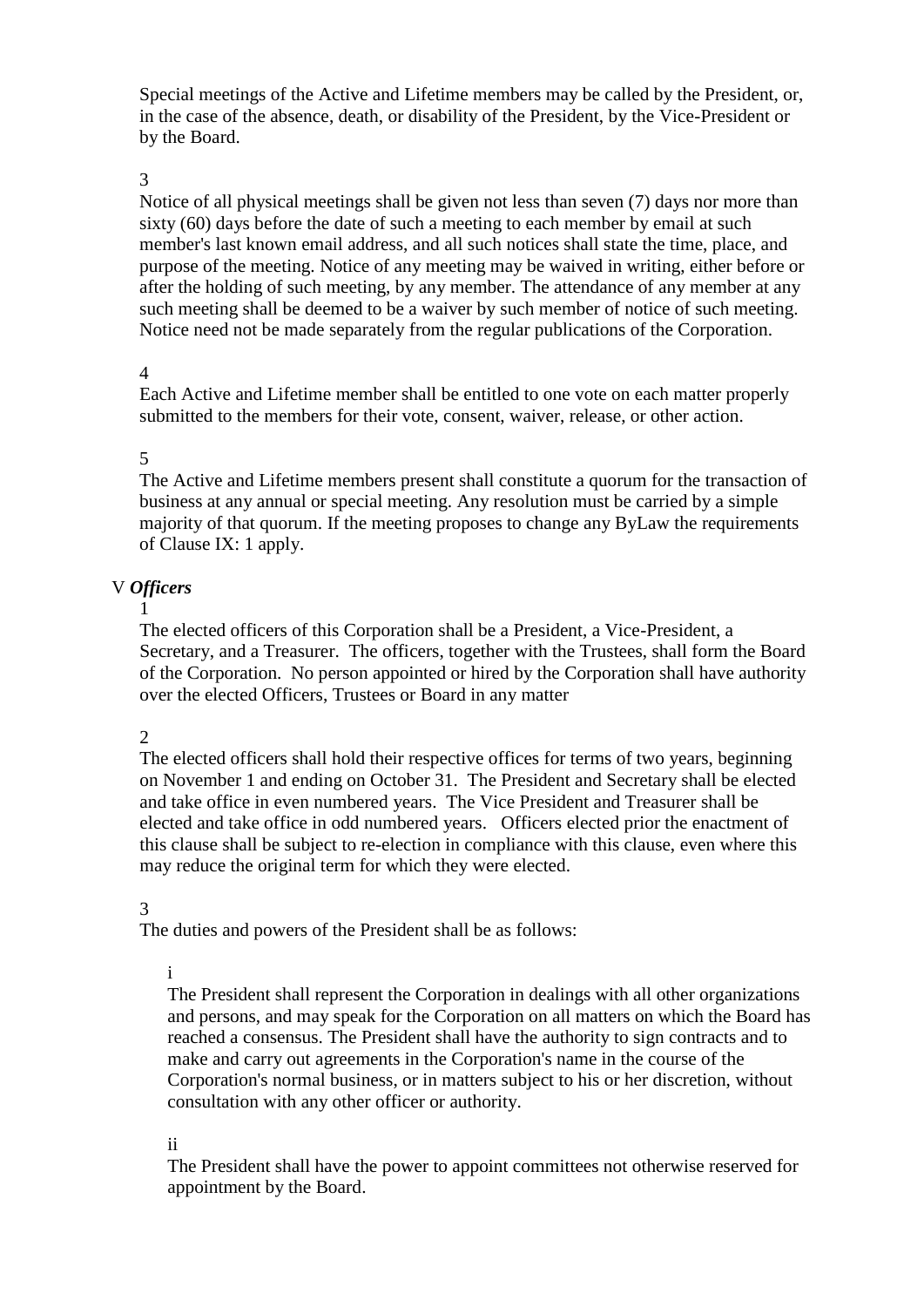Special meetings of the Active and Lifetime members may be called by the President, or, in the case of the absence, death, or disability of the President, by the Vice-President or by the Board.

### 3

Notice of all physical meetings shall be given not less than seven (7) days nor more than sixty (60) days before the date of such a meeting to each member by email at such member's last known email address, and all such notices shall state the time, place, and purpose of the meeting. Notice of any meeting may be waived in writing, either before or after the holding of such meeting, by any member. The attendance of any member at any such meeting shall be deemed to be a waiver by such member of notice of such meeting. Notice need not be made separately from the regular publications of the Corporation.

## 4

Each Active and Lifetime member shall be entitled to one vote on each matter properly submitted to the members for their vote, consent, waiver, release, or other action.

### 5

The Active and Lifetime members present shall constitute a quorum for the transaction of business at any annual or special meeting. Any resolution must be carried by a simple majority of that quorum. If the meeting proposes to change any ByLaw the requirements of Clause IX: 1 apply.

## V *Officers*

1

The elected officers of this Corporation shall be a President, a Vice-President, a Secretary, and a Treasurer. The officers, together with the Trustees, shall form the Board of the Corporation. No person appointed or hired by the Corporation shall have authority over the elected Officers, Trustees or Board in any matter

## 2

The elected officers shall hold their respective offices for terms of two years, beginning on November 1 and ending on October 31. The President and Secretary shall be elected and take office in even numbered years. The Vice President and Treasurer shall be elected and take office in odd numbered years. Officers elected prior the enactment of this clause shall be subject to re-election in compliance with this clause, even where this may reduce the original term for which they were elected.

#### 3

The duties and powers of the President shall be as follows:

#### i

The President shall represent the Corporation in dealings with all other organizations and persons, and may speak for the Corporation on all matters on which the Board has reached a consensus. The President shall have the authority to sign contracts and to make and carry out agreements in the Corporation's name in the course of the Corporation's normal business, or in matters subject to his or her discretion, without consultation with any other officer or authority.

ii

The President shall have the power to appoint committees not otherwise reserved for appointment by the Board.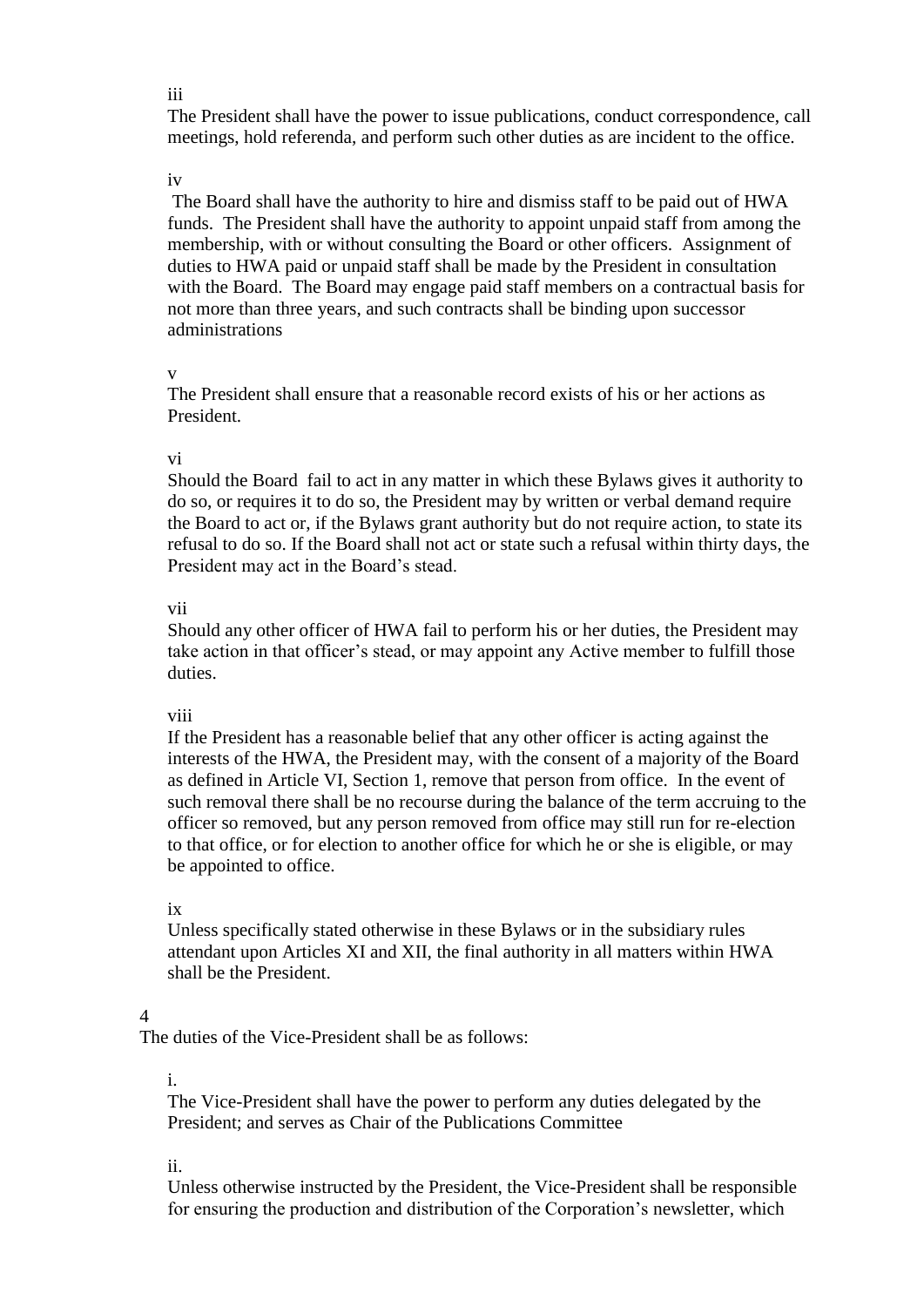#### iii

The President shall have the power to issue publications, conduct correspondence, call meetings, hold referenda, and perform such other duties as are incident to the office.

### iv

The Board shall have the authority to hire and dismiss staff to be paid out of HWA funds. The President shall have the authority to appoint unpaid staff from among the membership, with or without consulting the Board or other officers. Assignment of duties to HWA paid or unpaid staff shall be made by the President in consultation with the Board. The Board may engage paid staff members on a contractual basis for not more than three years, and such contracts shall be binding upon successor administrations

## v

The President shall ensure that a reasonable record exists of his or her actions as President.

## vi

Should the Board fail to act in any matter in which these Bylaws gives it authority to do so, or requires it to do so, the President may by written or verbal demand require the Board to act or, if the Bylaws grant authority but do not require action, to state its refusal to do so. If the Board shall not act or state such a refusal within thirty days, the President may act in the Board's stead.

## vii

Should any other officer of HWA fail to perform his or her duties, the President may take action in that officer's stead, or may appoint any Active member to fulfill those duties.

## viii

If the President has a reasonable belief that any other officer is acting against the interests of the HWA, the President may, with the consent of a majority of the Board as defined in Article VI, Section 1, remove that person from office. In the event of such removal there shall be no recourse during the balance of the term accruing to the officer so removed, but any person removed from office may still run for re-election to that office, or for election to another office for which he or she is eligible, or may be appointed to office.

## ix

Unless specifically stated otherwise in these Bylaws or in the subsidiary rules attendant upon Articles XI and XII, the final authority in all matters within HWA shall be the President.

# 4

The duties of the Vice-President shall be as follows:

# i.

The Vice-President shall have the power to perform any duties delegated by the President; and serves as Chair of the Publications Committee

## ii.

Unless otherwise instructed by the President, the Vice-President shall be responsible for ensuring the production and distribution of the Corporation's newsletter, which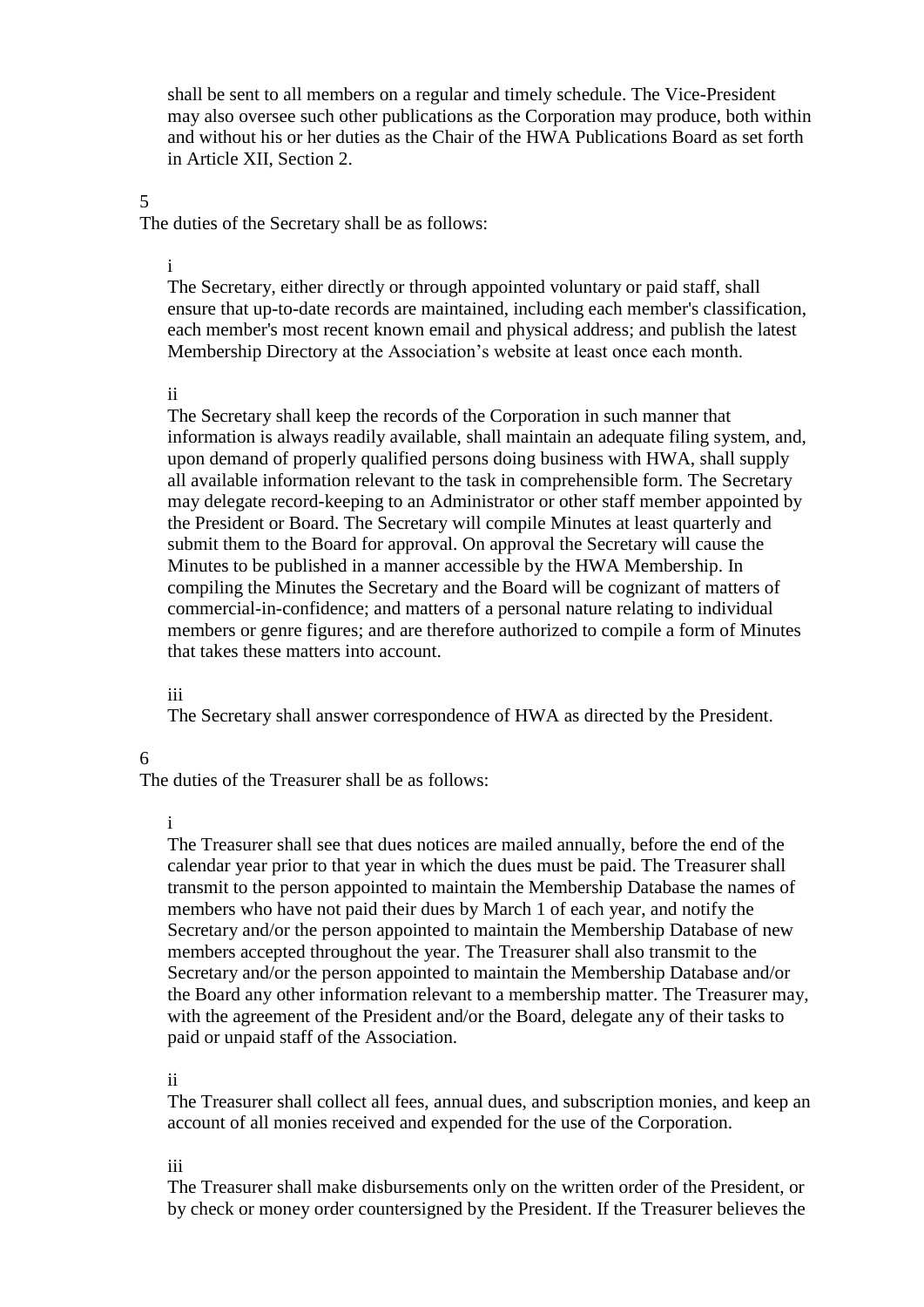shall be sent to all members on a regular and timely schedule. The Vice-President may also oversee such other publications as the Corporation may produce, both within and without his or her duties as the Chair of the HWA Publications Board as set forth in Article XII, Section 2.

### 5

The duties of the Secretary shall be as follows:

i

The Secretary, either directly or through appointed voluntary or paid staff, shall ensure that up-to-date records are maintained, including each member's classification, each member's most recent known email and physical address; and publish the latest Membership Directory at the Association's website at least once each month.

#### ii

The Secretary shall keep the records of the Corporation in such manner that information is always readily available, shall maintain an adequate filing system, and, upon demand of properly qualified persons doing business with HWA, shall supply all available information relevant to the task in comprehensible form. The Secretary may delegate record-keeping to an Administrator or other staff member appointed by the President or Board. The Secretary will compile Minutes at least quarterly and submit them to the Board for approval. On approval the Secretary will cause the Minutes to be published in a manner accessible by the HWA Membership. In compiling the Minutes the Secretary and the Board will be cognizant of matters of commercial-in-confidence; and matters of a personal nature relating to individual members or genre figures; and are therefore authorized to compile a form of Minutes that takes these matters into account.

#### iii

The Secretary shall answer correspondence of HWA as directed by the President.

### 6

The duties of the Treasurer shall be as follows:

#### i

The Treasurer shall see that dues notices are mailed annually, before the end of the calendar year prior to that year in which the dues must be paid. The Treasurer shall transmit to the person appointed to maintain the Membership Database the names of members who have not paid their dues by March 1 of each year, and notify the Secretary and/or the person appointed to maintain the Membership Database of new members accepted throughout the year. The Treasurer shall also transmit to the Secretary and/or the person appointed to maintain the Membership Database and/or the Board any other information relevant to a membership matter. The Treasurer may, with the agreement of the President and/or the Board, delegate any of their tasks to paid or unpaid staff of the Association.

#### ii

The Treasurer shall collect all fees, annual dues, and subscription monies, and keep an account of all monies received and expended for the use of the Corporation.

#### iii

The Treasurer shall make disbursements only on the written order of the President, or by check or money order countersigned by the President. If the Treasurer believes the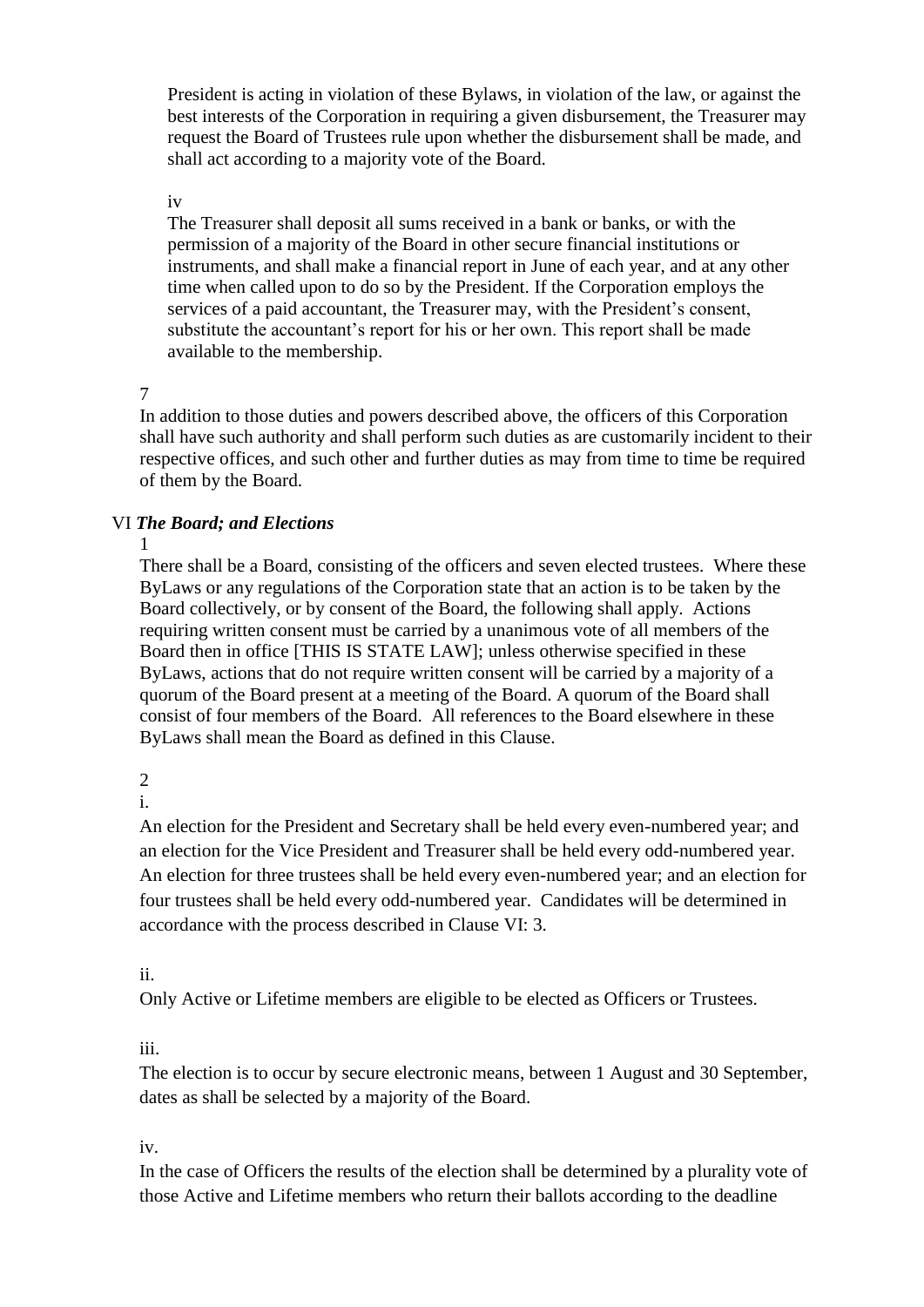President is acting in violation of these Bylaws, in violation of the law, or against the best interests of the Corporation in requiring a given disbursement, the Treasurer may request the Board of Trustees rule upon whether the disbursement shall be made, and shall act according to a majority vote of the Board.

### iv

The Treasurer shall deposit all sums received in a bank or banks, or with the permission of a majority of the Board in other secure financial institutions or instruments, and shall make a financial report in June of each year, and at any other time when called upon to do so by the President. If the Corporation employs the services of a paid accountant, the Treasurer may, with the President's consent, substitute the accountant's report for his or her own. This report shall be made available to the membership.

# 7

In addition to those duties and powers described above, the officers of this Corporation shall have such authority and shall perform such duties as are customarily incident to their respective offices, and such other and further duties as may from time to time be required of them by the Board.

# VI *The Board; and Elections*

1

There shall be a Board, consisting of the officers and seven elected trustees. Where these ByLaws or any regulations of the Corporation state that an action is to be taken by the Board collectively, or by consent of the Board, the following shall apply. Actions requiring written consent must be carried by a unanimous vote of all members of the Board then in office [THIS IS STATE LAW]; unless otherwise specified in these ByLaws, actions that do not require written consent will be carried by a majority of a quorum of the Board present at a meeting of the Board. A quorum of the Board shall consist of four members of the Board. All references to the Board elsewhere in these ByLaws shall mean the Board as defined in this Clause.

2

i.

An election for the President and Secretary shall be held every even-numbered year; and an election for the Vice President and Treasurer shall be held every odd-numbered year. An election for three trustees shall be held every even-numbered year; and an election for four trustees shall be held every odd-numbered year. Candidates will be determined in accordance with the process described in Clause VI: 3.

# ii.

Only Active or Lifetime members are eligible to be elected as Officers or Trustees.

# iii.

The election is to occur by secure electronic means, between 1 August and 30 September, dates as shall be selected by a majority of the Board.

# iv.

In the case of Officers the results of the election shall be determined by a plurality vote of those Active and Lifetime members who return their ballots according to the deadline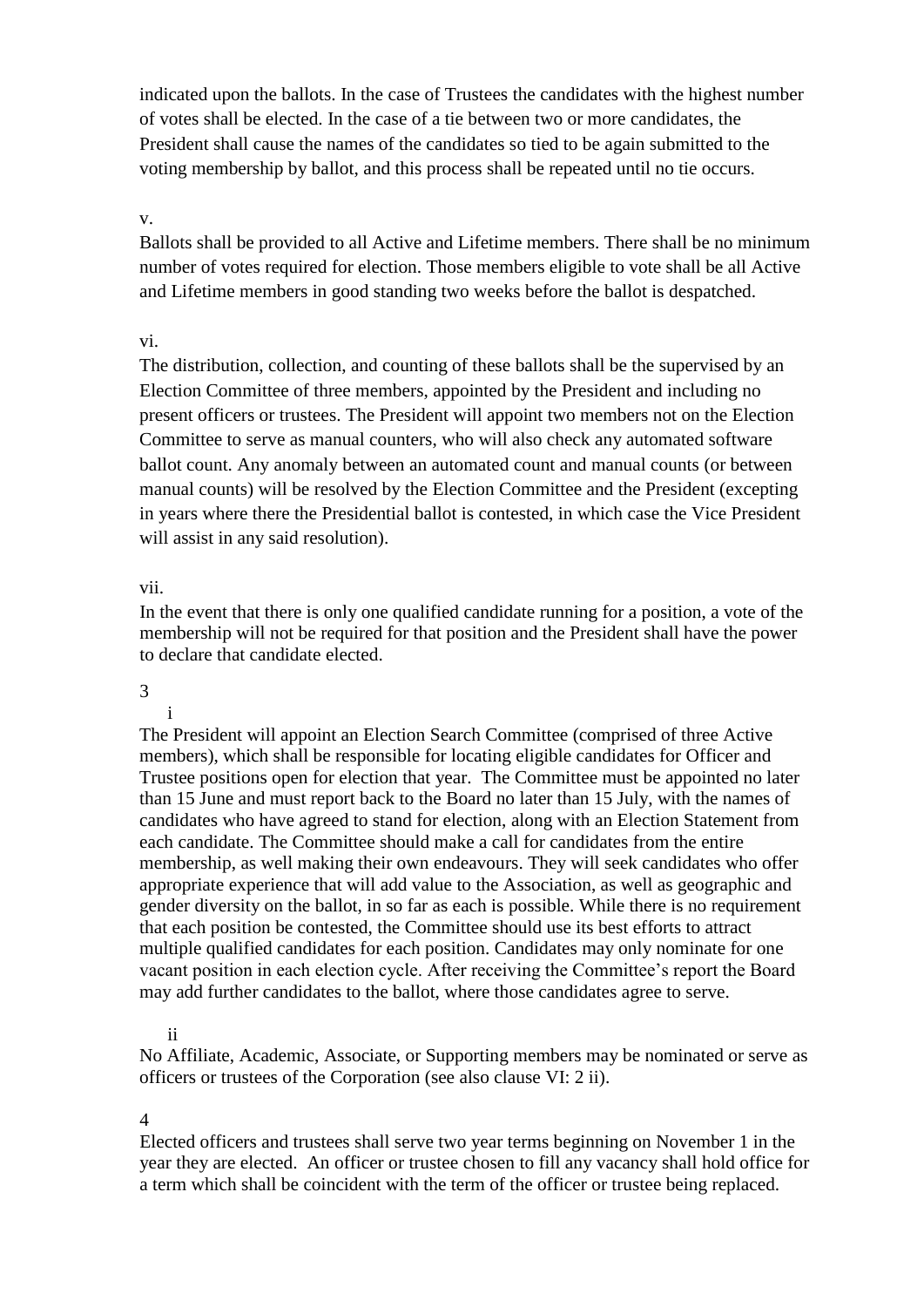indicated upon the ballots. In the case of Trustees the candidates with the highest number of votes shall be elected. In the case of a tie between two or more candidates, the President shall cause the names of the candidates so tied to be again submitted to the voting membership by ballot, and this process shall be repeated until no tie occurs.

v.

Ballots shall be provided to all Active and Lifetime members. There shall be no minimum number of votes required for election. Those members eligible to vote shall be all Active and Lifetime members in good standing two weeks before the ballot is despatched.

vi.

The distribution, collection, and counting of these ballots shall be the supervised by an Election Committee of three members, appointed by the President and including no present officers or trustees. The President will appoint two members not on the Election Committee to serve as manual counters, who will also check any automated software ballot count. Any anomaly between an automated count and manual counts (or between manual counts) will be resolved by the Election Committee and the President (excepting in years where there the Presidential ballot is contested, in which case the Vice President will assist in any said resolution).

## vii.

In the event that there is only one qualified candidate running for a position, a vote of the membership will not be required for that position and the President shall have the power to declare that candidate elected.

#### 3

i

The President will appoint an Election Search Committee (comprised of three Active members), which shall be responsible for locating eligible candidates for Officer and Trustee positions open for election that year. The Committee must be appointed no later than 15 June and must report back to the Board no later than 15 July, with the names of candidates who have agreed to stand for election, along with an Election Statement from each candidate. The Committee should make a call for candidates from the entire membership, as well making their own endeavours. They will seek candidates who offer appropriate experience that will add value to the Association, as well as geographic and gender diversity on the ballot, in so far as each is possible. While there is no requirement that each position be contested, the Committee should use its best efforts to attract multiple qualified candidates for each position. Candidates may only nominate for one vacant position in each election cycle. After receiving the Committee's report the Board may add further candidates to the ballot, where those candidates agree to serve.

## ii

No Affiliate, Academic, Associate, or Supporting members may be nominated or serve as officers or trustees of the Corporation (see also clause VI: 2 ii).

4

Elected officers and trustees shall serve two year terms beginning on November 1 in the year they are elected. An officer or trustee chosen to fill any vacancy shall hold office for a term which shall be coincident with the term of the officer or trustee being replaced.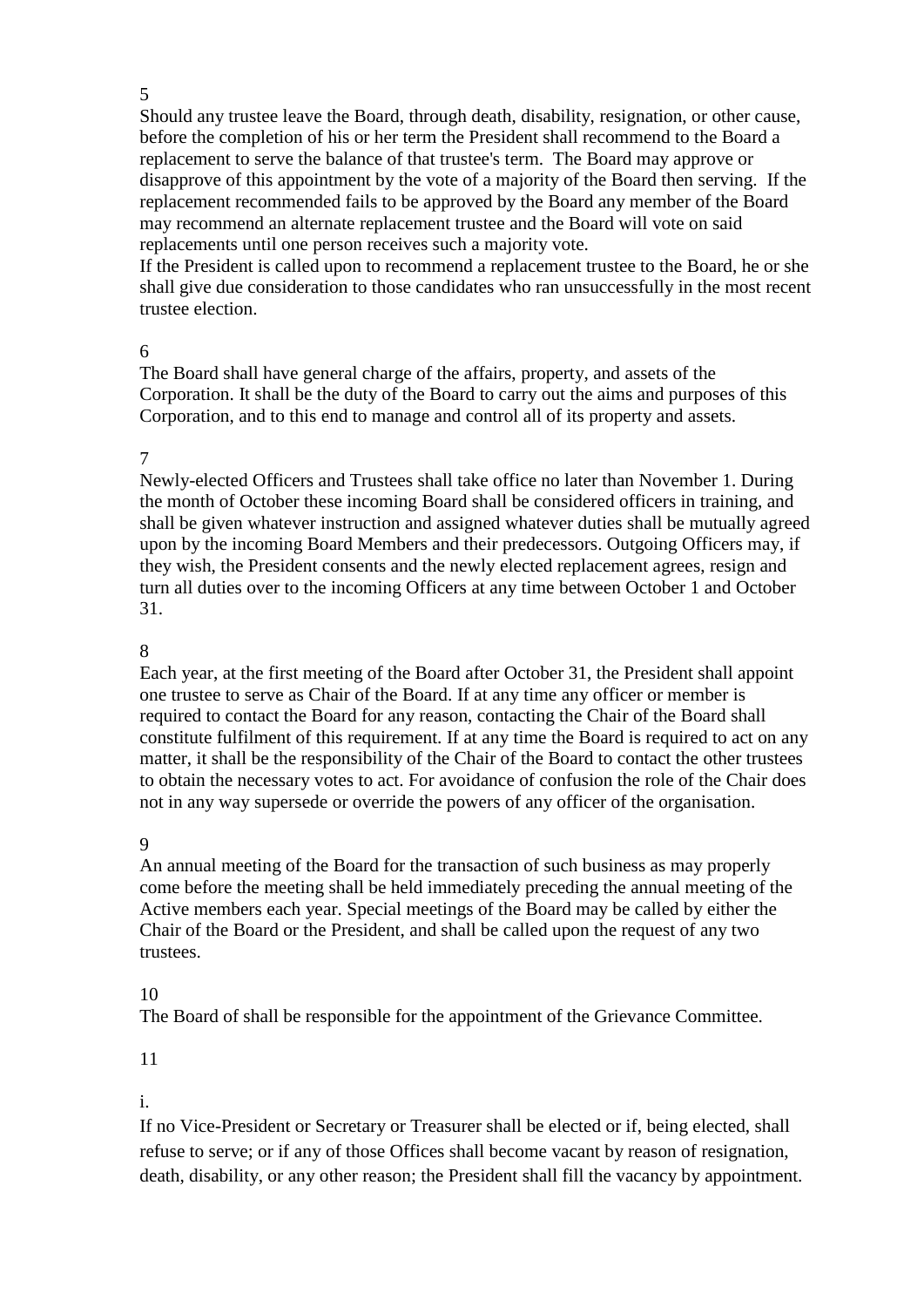#### 5

Should any trustee leave the Board, through death, disability, resignation, or other cause, before the completion of his or her term the President shall recommend to the Board a replacement to serve the balance of that trustee's term. The Board may approve or disapprove of this appointment by the vote of a majority of the Board then serving. If the replacement recommended fails to be approved by the Board any member of the Board may recommend an alternate replacement trustee and the Board will vote on said replacements until one person receives such a majority vote.

If the President is called upon to recommend a replacement trustee to the Board, he or she shall give due consideration to those candidates who ran unsuccessfully in the most recent trustee election.

#### 6

The Board shall have general charge of the affairs, property, and assets of the Corporation. It shall be the duty of the Board to carry out the aims and purposes of this Corporation, and to this end to manage and control all of its property and assets.

### 7

Newly-elected Officers and Trustees shall take office no later than November 1. During the month of October these incoming Board shall be considered officers in training, and shall be given whatever instruction and assigned whatever duties shall be mutually agreed upon by the incoming Board Members and their predecessors. Outgoing Officers may, if they wish, the President consents and the newly elected replacement agrees, resign and turn all duties over to the incoming Officers at any time between October 1 and October 31.

### 8

Each year, at the first meeting of the Board after October 31, the President shall appoint one trustee to serve as Chair of the Board. If at any time any officer or member is required to contact the Board for any reason, contacting the Chair of the Board shall constitute fulfilment of this requirement. If at any time the Board is required to act on any matter, it shall be the responsibility of the Chair of the Board to contact the other trustees to obtain the necessary votes to act. For avoidance of confusion the role of the Chair does not in any way supersede or override the powers of any officer of the organisation.

#### 9

An annual meeting of the Board for the transaction of such business as may properly come before the meeting shall be held immediately preceding the annual meeting of the Active members each year. Special meetings of the Board may be called by either the Chair of the Board or the President, and shall be called upon the request of any two trustees.

## 10

The Board of shall be responsible for the appointment of the Grievance Committee.

#### 11

i.

If no Vice-President or Secretary or Treasurer shall be elected or if, being elected, shall refuse to serve; or if any of those Offices shall become vacant by reason of resignation, death, disability, or any other reason; the President shall fill the vacancy by appointment.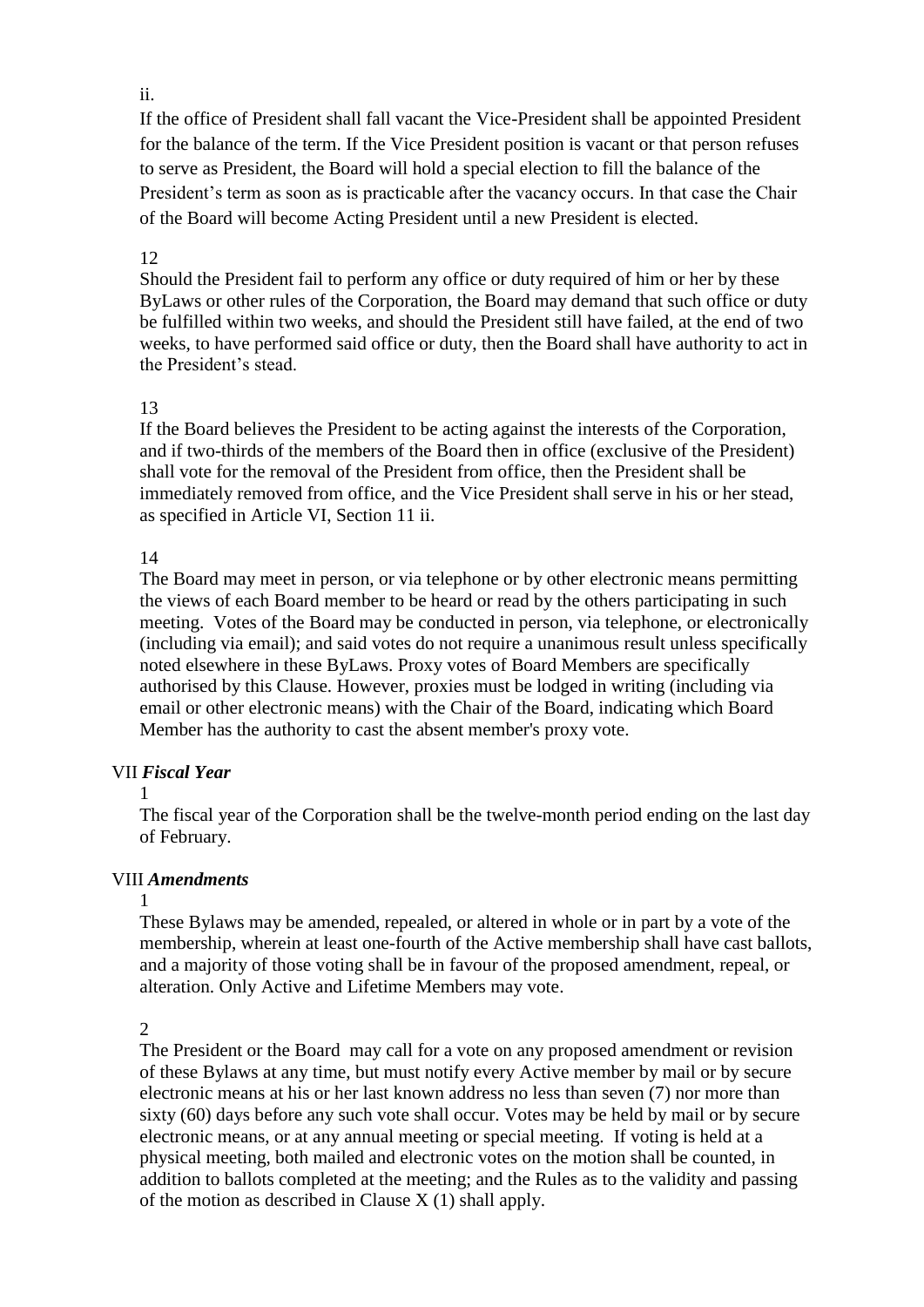## ii.

If the office of President shall fall vacant the Vice-President shall be appointed President for the balance of the term. If the Vice President position is vacant or that person refuses to serve as President, the Board will hold a special election to fill the balance of the President's term as soon as is practicable after the vacancy occurs. In that case the Chair of the Board will become Acting President until a new President is elected.

## 12

Should the President fail to perform any office or duty required of him or her by these ByLaws or other rules of the Corporation, the Board may demand that such office or duty be fulfilled within two weeks, and should the President still have failed, at the end of two weeks, to have performed said office or duty, then the Board shall have authority to act in the President's stead.

# 13

If the Board believes the President to be acting against the interests of the Corporation, and if two-thirds of the members of the Board then in office (exclusive of the President) shall vote for the removal of the President from office, then the President shall be immediately removed from office, and the Vice President shall serve in his or her stead, as specified in Article VI, Section 11 ii.

# 14

The Board may meet in person, or via telephone or by other electronic means permitting the views of each Board member to be heard or read by the others participating in such meeting. Votes of the Board may be conducted in person, via telephone, or electronically (including via email); and said votes do not require a unanimous result unless specifically noted elsewhere in these ByLaws. Proxy votes of Board Members are specifically authorised by this Clause. However, proxies must be lodged in writing (including via email or other electronic means) with the Chair of the Board, indicating which Board Member has the authority to cast the absent member's proxy vote.

# VII *Fiscal Year*

1

The fiscal year of the Corporation shall be the twelve-month period ending on the last day of February.

# VIII *Amendments*

## 1

These Bylaws may be amended, repealed, or altered in whole or in part by a vote of the membership, wherein at least one-fourth of the Active membership shall have cast ballots, and a majority of those voting shall be in favour of the proposed amendment, repeal, or alteration. Only Active and Lifetime Members may vote.

2

The President or the Board may call for a vote on any proposed amendment or revision of these Bylaws at any time, but must notify every Active member by mail or by secure electronic means at his or her last known address no less than seven (7) nor more than sixty (60) days before any such vote shall occur. Votes may be held by mail or by secure electronic means, or at any annual meeting or special meeting. If voting is held at a physical meeting, both mailed and electronic votes on the motion shall be counted, in addition to ballots completed at the meeting; and the Rules as to the validity and passing of the motion as described in Clause X (1) shall apply.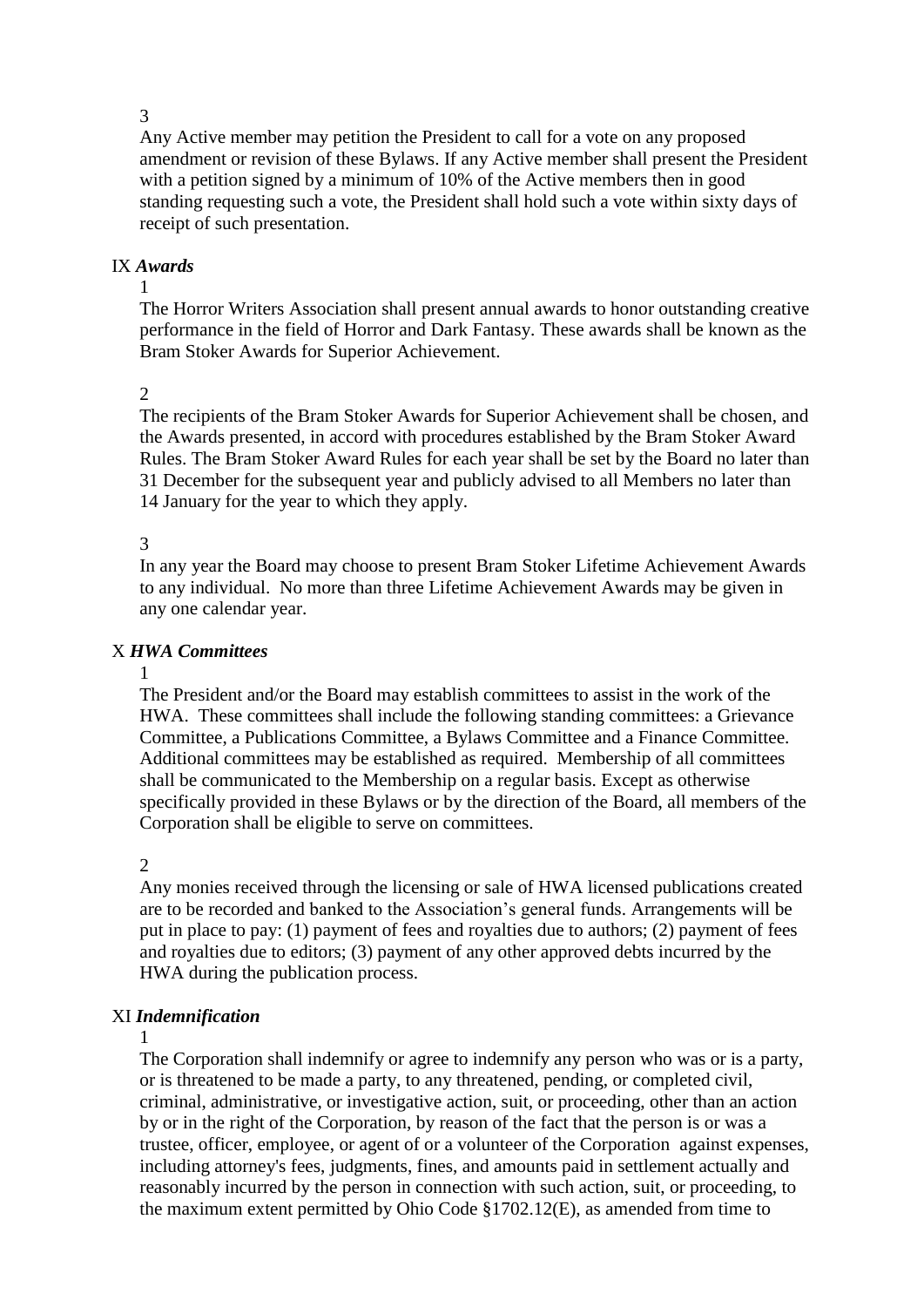3

Any Active member may petition the President to call for a vote on any proposed amendment or revision of these Bylaws. If any Active member shall present the President with a petition signed by a minimum of 10% of the Active members then in good standing requesting such a vote, the President shall hold such a vote within sixty days of receipt of such presentation.

## IX *Awards*

1

The Horror Writers Association shall present annual awards to honor outstanding creative performance in the field of Horror and Dark Fantasy. These awards shall be known as the Bram Stoker Awards for Superior Achievement.

## $\mathcal{L}$

The recipients of the Bram Stoker Awards for Superior Achievement shall be chosen, and the Awards presented, in accord with procedures established by the Bram Stoker Award Rules. The Bram Stoker Award Rules for each year shall be set by the Board no later than 31 December for the subsequent year and publicly advised to all Members no later than 14 January for the year to which they apply.

# 3

In any year the Board may choose to present Bram Stoker Lifetime Achievement Awards to any individual. No more than three Lifetime Achievement Awards may be given in any one calendar year.

# X *HWA Committees*

#### 1

The President and/or the Board may establish committees to assist in the work of the HWA. These committees shall include the following standing committees: a Grievance Committee, a Publications Committee, a Bylaws Committee and a Finance Committee. Additional committees may be established as required. Membership of all committees shall be communicated to the Membership on a regular basis. Except as otherwise specifically provided in these Bylaws or by the direction of the Board, all members of the Corporation shall be eligible to serve on committees.

## 2

Any monies received through the licensing or sale of HWA licensed publications created are to be recorded and banked to the Association's general funds. Arrangements will be put in place to pay: (1) payment of fees and royalties due to authors; (2) payment of fees and royalties due to editors; (3) payment of any other approved debts incurred by the HWA during the publication process.

# XI *Indemnification*

## 1

The Corporation shall indemnify or agree to indemnify any person who was or is a party, or is threatened to be made a party, to any threatened, pending, or completed civil, criminal, administrative, or investigative action, suit, or proceeding, other than an action by or in the right of the Corporation, by reason of the fact that the person is or was a trustee, officer, employee, or agent of or a volunteer of the Corporation against expenses, including attorney's fees, judgments, fines, and amounts paid in settlement actually and reasonably incurred by the person in connection with such action, suit, or proceeding, to the maximum extent permitted by Ohio Code §1702.12(E), as amended from time to